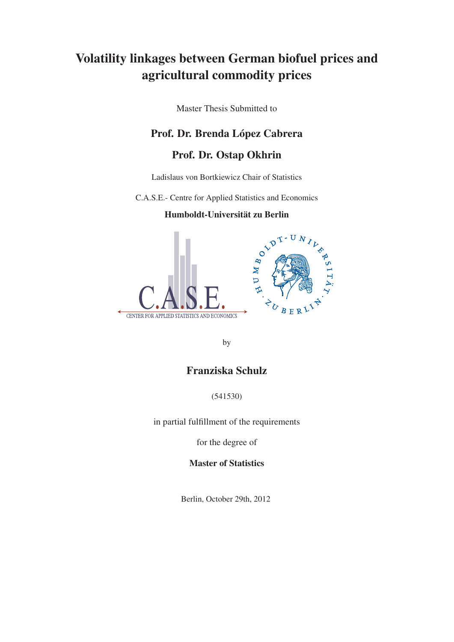## Volatility linkages between German biofuel prices and agricultural commodity prices

Master Thesis Submitted to

## Prof. Dr. Brenda López Cabrera

## Prof. Dr. Ostap Okhrin

Ladislaus von Bortkiewicz Chair of Statistics

C.A.S.E.- Centre for Applied Statistics and Economics

### Humboldt-Universität zu Berlin



by

## Franziska Schulz

(541530)

in partial fulfillment of the requirements

for the degree of

Master of Statistics

Berlin, October 29th, 2012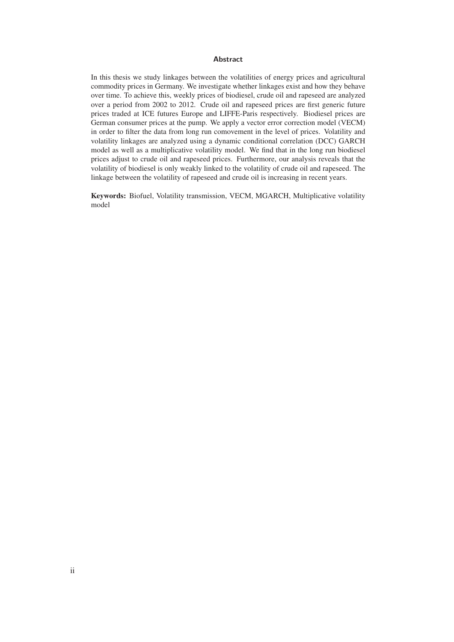#### **Abstract**

In this thesis we study linkages between the volatilities of energy prices and agricultural commodity prices in Germany. We investigate whether linkages exist and how they behave over time. To achieve this, weekly prices of biodiesel, crude oil and rapeseed are analyzed over a period from 2002 to 2012. Crude oil and rapeseed prices are first generic future prices traded at ICE futures Europe and LIFFE-Paris respectively. Biodiesel prices are German consumer prices at the pump. We apply a vector error correction model (VECM) in order to filter the data from long run comovement in the level of prices. Volatility and volatility linkages are analyzed using a dynamic conditional correlation (DCC) GARCH model as well as a multiplicative volatility model. We find that in the long run biodiesel prices adjust to crude oil and rapeseed prices. Furthermore, our analysis reveals that the volatility of biodiesel is only weakly linked to the volatility of crude oil and rapeseed. The linkage between the volatility of rapeseed and crude oil is increasing in recent years.

Keywords: Biofuel, Volatility transmission, VECM, MGARCH, Multiplicative volatility model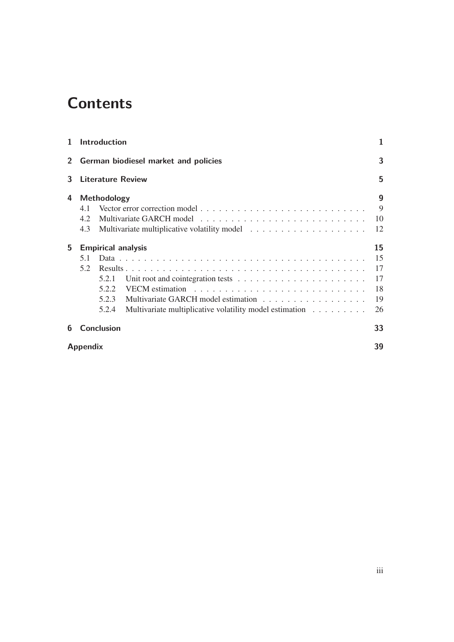# **Contents**

| 1.           |                 | <b>Introduction</b>       |                                                                                      | 1  |
|--------------|-----------------|---------------------------|--------------------------------------------------------------------------------------|----|
| $\mathbf{2}$ |                 |                           | German biodiesel market and policies                                                 | 3  |
| 3            |                 | <b>Literature Review</b>  |                                                                                      | 5  |
| 4            |                 | Methodology               |                                                                                      | 9  |
|              | 4.1             |                           |                                                                                      | 9  |
|              | 4.2             |                           |                                                                                      | 10 |
|              | 4.3             |                           |                                                                                      | 12 |
| 5            |                 | <b>Empirical analysis</b> |                                                                                      | 15 |
|              | 5.1             |                           |                                                                                      | 15 |
|              | 5.2             |                           |                                                                                      | 17 |
|              |                 | 5.2.1                     | Unit root and cointegration tests $\ldots \ldots \ldots \ldots \ldots \ldots \ldots$ | 17 |
|              |                 | 5.2.2                     |                                                                                      | 18 |
|              |                 | 5.2.3                     |                                                                                      | 19 |
|              |                 | 5.2.4                     | Multivariate multiplicative volatility model estimation                              | 26 |
| 6            |                 | <b>Conclusion</b>         |                                                                                      | 33 |
|              | <b>Appendix</b> |                           |                                                                                      | 39 |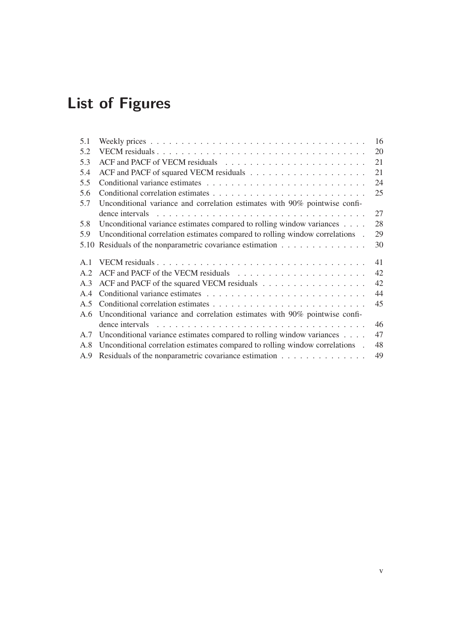# **List of Figures**

| 5.1            | Weekly prices $\ldots \ldots \ldots \ldots \ldots \ldots \ldots \ldots \ldots \ldots \ldots \ldots$   | 16 |
|----------------|-------------------------------------------------------------------------------------------------------|----|
| 5.2            |                                                                                                       | 20 |
| 5.3            |                                                                                                       | 21 |
| 5.4            |                                                                                                       | 21 |
| 5.5            |                                                                                                       | 24 |
| 5.6            |                                                                                                       | 25 |
| 5.7            | Unconditional variance and correlation estimates with 90% pointwise confi-                            |    |
|                | dence intervals $\ldots \ldots \ldots \ldots \ldots \ldots \ldots \ldots \ldots \ldots \ldots \ldots$ | 27 |
| 5.8            | Unconditional variance estimates compared to rolling window variances                                 | 28 |
| 5.9            | Unconditional correlation estimates compared to rolling window correlations.                          | 29 |
| 5.10           | Residuals of the nonparametric covariance estimation                                                  | 30 |
| $\mathbf{A}$ 1 |                                                                                                       | 41 |
| A.2            |                                                                                                       | 42 |
| A.3            |                                                                                                       | 42 |
| A.4            |                                                                                                       | 44 |
| A.5            |                                                                                                       | 45 |
| A.6            | Unconditional variance and correlation estimates with 90% pointwise confi-                            |    |
|                | dence intervals $\ldots \ldots \ldots \ldots \ldots \ldots \ldots \ldots \ldots \ldots \ldots \ldots$ | 46 |
| A.7            | Unconditional variance estimates compared to rolling window variances                                 | 47 |
| A.8            | Unconditional correlation estimates compared to rolling window correlations.                          | 48 |
| A.9            | Residuals of the nonparametric covariance estimation                                                  | 49 |
|                |                                                                                                       |    |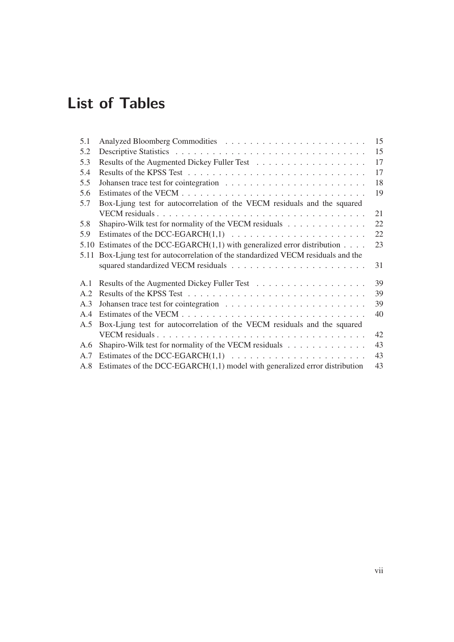# **List of Tables**

| 5.1  |                                                                                 | 15 |
|------|---------------------------------------------------------------------------------|----|
| 5.2  |                                                                                 | 15 |
| 5.3  |                                                                                 | 17 |
| 5.4  |                                                                                 | 17 |
| 5.5  |                                                                                 | 18 |
| 5.6  |                                                                                 | 19 |
| 5.7  | Box-Ljung test for autocorrelation of the VECM residuals and the squared        |    |
|      |                                                                                 | 21 |
| 5.8  | Shapiro-Wilk test for normality of the VECM residuals                           | 22 |
| 5.9  |                                                                                 | 22 |
| 5.10 | Estimates of the DCC-EGARCH $(1,1)$ with generalized error distribution $\dots$ | 23 |
| 5.11 | Box-Ljung test for autocorrelation of the standardized VECM residuals and the   |    |
|      |                                                                                 | 31 |
| A.1  |                                                                                 | 39 |
| A.2  |                                                                                 | 39 |
| A.3  |                                                                                 | 39 |
| A.4  |                                                                                 | 40 |
| A.5  | Box-Ljung test for autocorrelation of the VECM residuals and the squared        |    |
|      |                                                                                 | 42 |
| A.6  | Shapiro-Wilk test for normality of the VECM residuals                           | 43 |
| A.7  |                                                                                 | 43 |
| A.8  | Estimates of the DCC-EGARCH $(1,1)$ model with generalized error distribution   | 43 |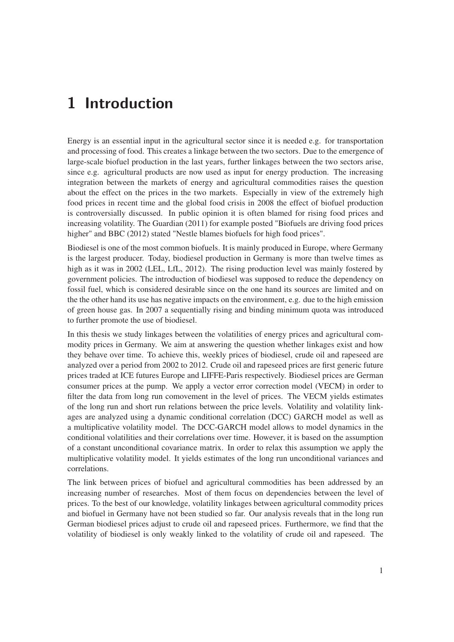## **1 Introduction**

Energy is an essential input in the agricultural sector since it is needed e.g. for transportation and processing of food. This creates a linkage between the two sectors. Due to the emergence of large-scale biofuel production in the last years, further linkages between the two sectors arise, since e.g. agricultural products are now used as input for energy production. The increasing integration between the markets of energy and agricultural commodities raises the question about the effect on the prices in the two markets. Especially in view of the extremely high food prices in recent time and the global food crisis in 2008 the effect of biofuel production is controversially discussed. In public opinion it is often blamed for rising food prices and increasing volatility. The Guardian (2011) for example posted "Biofuels are driving food prices higher" and BBC (2012) stated "Nestle blames biofuels for high food prices".

Biodiesel is one of the most common biofuels. It is mainly produced in Europe, where Germany is the largest producer. Today, biodiesel production in Germany is more than twelve times as high as it was in 2002 (LEL, LfL, 2012). The rising production level was mainly fostered by government policies. The introduction of biodiesel was supposed to reduce the dependency on fossil fuel, which is considered desirable since on the one hand its sources are limited and on the the other hand its use has negative impacts on the environment, e.g. due to the high emission of green house gas. In 2007 a sequentially rising and binding minimum quota was introduced to further promote the use of biodiesel.

In this thesis we study linkages between the volatilities of energy prices and agricultural commodity prices in Germany. We aim at answering the question whether linkages exist and how they behave over time. To achieve this, weekly prices of biodiesel, crude oil and rapeseed are analyzed over a period from 2002 to 2012. Crude oil and rapeseed prices are first generic future prices traded at ICE futures Europe and LIFFE-Paris respectively. Biodiesel prices are German consumer prices at the pump. We apply a vector error correction model (VECM) in order to filter the data from long run comovement in the level of prices. The VECM yields estimates of the long run and short run relations between the price levels. Volatility and volatility linkages are analyzed using a dynamic conditional correlation (DCC) GARCH model as well as a multiplicative volatility model. The DCC-GARCH model allows to model dynamics in the conditional volatilities and their correlations over time. However, it is based on the assumption of a constant unconditional covariance matrix. In order to relax this assumption we apply the multiplicative volatility model. It yields estimates of the long run unconditional variances and correlations.

The link between prices of biofuel and agricultural commodities has been addressed by an increasing number of researches. Most of them focus on dependencies between the level of prices. To the best of our knowledge, volatility linkages between agricultural commodity prices and biofuel in Germany have not been studied so far. Our analysis reveals that in the long run German biodiesel prices adjust to crude oil and rapeseed prices. Furthermore, we find that the volatility of biodiesel is only weakly linked to the volatility of crude oil and rapeseed. The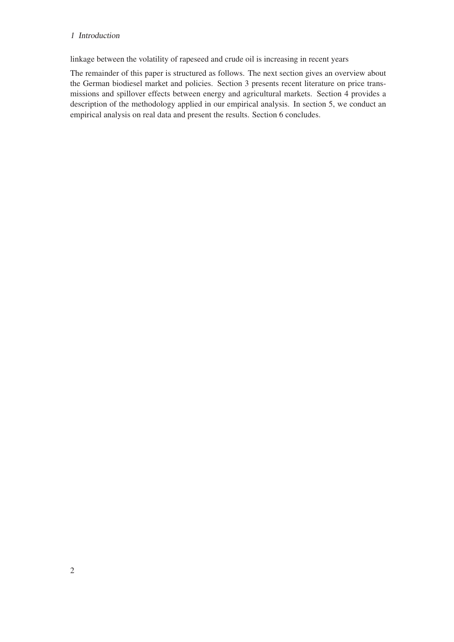### 1 Introduction

linkage between the volatility of rapeseed and crude oil is increasing in recent years

The remainder of this paper is structured as follows. The next section gives an overview about the German biodiesel market and policies. Section 3 presents recent literature on price transmissions and spillover effects between energy and agricultural markets. Section 4 provides a description of the methodology applied in our empirical analysis. In section 5, we conduct an empirical analysis on real data and present the results. Section 6 concludes.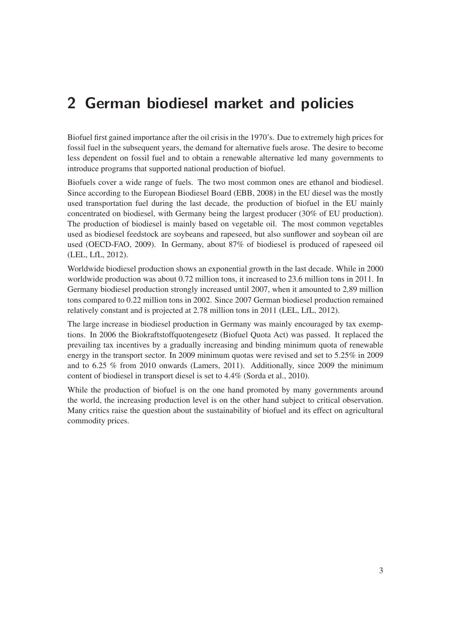## **2 German biodiesel market and policies**

Biofuel first gained importance after the oil crisis in the 1970's. Due to extremely high prices for fossil fuel in the subsequent years, the demand for alternative fuels arose. The desire to become less dependent on fossil fuel and to obtain a renewable alternative led many governments to introduce programs that supported national production of biofuel.

Biofuels cover a wide range of fuels. The two most common ones are ethanol and biodiesel. Since according to the European Biodiesel Board (EBB, 2008) in the EU diesel was the mostly used transportation fuel during the last decade, the production of biofuel in the EU mainly concentrated on biodiesel, with Germany being the largest producer (30% of EU production). The production of biodiesel is mainly based on vegetable oil. The most common vegetables used as biodiesel feedstock are soybeans and rapeseed, but also sunflower and soybean oil are used (OECD-FAO, 2009). In Germany, about 87% of biodiesel is produced of rapeseed oil (LEL, LfL, 2012).

Worldwide biodiesel production shows an exponential growth in the last decade. While in 2000 worldwide production was about 0.72 million tons, it increased to 23.6 million tons in 2011. In Germany biodiesel production strongly increased until 2007, when it amounted to 2,89 million tons compared to 0.22 million tons in 2002. Since 2007 German biodiesel production remained relatively constant and is projected at 2.78 million tons in 2011 (LEL, LfL, 2012).

The large increase in biodiesel production in Germany was mainly encouraged by tax exemptions. In 2006 the Biokraftstoffquotengesetz (Biofuel Quota Act) was passed. It replaced the prevailing tax incentives by a gradually increasing and binding minimum quota of renewable energy in the transport sector. In 2009 minimum quotas were revised and set to 5.25% in 2009 and to 6.25 % from 2010 onwards (Lamers, 2011). Additionally, since 2009 the minimum content of biodiesel in transport diesel is set to 4.4% (Sorda et al., 2010).

While the production of biofuel is on the one hand promoted by many governments around the world, the increasing production level is on the other hand subject to critical observation. Many critics raise the question about the sustainability of biofuel and its effect on agricultural commodity prices.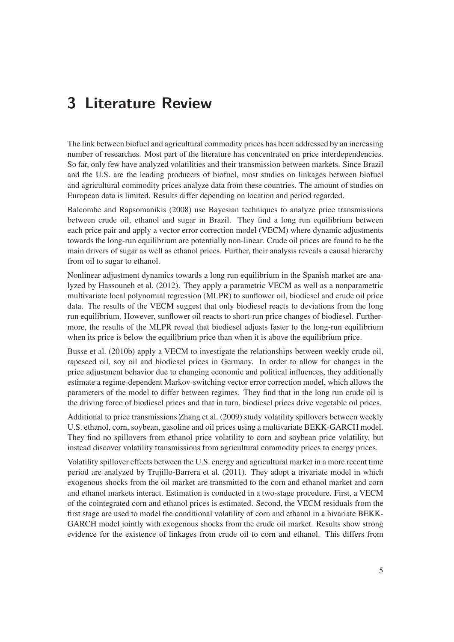## **3 Literature Review**

The link between biofuel and agricultural commodity prices has been addressed by an increasing number of researches. Most part of the literature has concentrated on price interdependencies. So far, only few have analyzed volatilities and their transmission between markets. Since Brazil and the U.S. are the leading producers of biofuel, most studies on linkages between biofuel and agricultural commodity prices analyze data from these countries. The amount of studies on European data is limited. Results differ depending on location and period regarded.

Balcombe and Rapsomanikis (2008) use Bayesian techniques to analyze price transmissions between crude oil, ethanol and sugar in Brazil. They find a long run equilibrium between each price pair and apply a vector error correction model (VECM) where dynamic adjustments towards the long-run equilibrium are potentially non-linear. Crude oil prices are found to be the main drivers of sugar as well as ethanol prices. Further, their analysis reveals a causal hierarchy from oil to sugar to ethanol.

Nonlinear adjustment dynamics towards a long run equilibrium in the Spanish market are analyzed by Hassouneh et al. (2012). They apply a parametric VECM as well as a nonparametric multivariate local polynomial regression (MLPR) to sunflower oil, biodiesel and crude oil price data. The results of the VECM suggest that only biodiesel reacts to deviations from the long run equilibrium. However, sunflower oil reacts to short-run price changes of biodiesel. Furthermore, the results of the MLPR reveal that biodiesel adjusts faster to the long-run equilibrium when its price is below the equilibrium price than when it is above the equilibrium price.

Busse et al. (2010b) apply a VECM to investigate the relationships between weekly crude oil, rapeseed oil, soy oil and biodiesel prices in Germany. In order to allow for changes in the price adjustment behavior due to changing economic and political influences, they additionally estimate a regime-dependent Markov-switching vector error correction model, which allows the parameters of the model to differ between regimes. They find that in the long run crude oil is the driving force of biodiesel prices and that in turn, biodiesel prices drive vegetable oil prices.

Additional to price transmissions Zhang et al. (2009) study volatility spillovers between weekly U.S. ethanol, corn, soybean, gasoline and oil prices using a multivariate BEKK-GARCH model. They find no spillovers from ethanol price volatility to corn and soybean price volatility, but instead discover volatility transmissions from agricultural commodity prices to energy prices.

Volatility spillover effects between the U.S. energy and agricultural market in a more recent time period are analyzed by Trujillo-Barrera et al. (2011). They adopt a trivariate model in which exogenous shocks from the oil market are transmitted to the corn and ethanol market and corn and ethanol markets interact. Estimation is conducted in a two-stage procedure. First, a VECM of the cointegrated corn and ethanol prices is estimated. Second, the VECM residuals from the first stage are used to model the conditional volatility of corn and ethanol in a bivariate BEKK-GARCH model jointly with exogenous shocks from the crude oil market. Results show strong evidence for the existence of linkages from crude oil to corn and ethanol. This differs from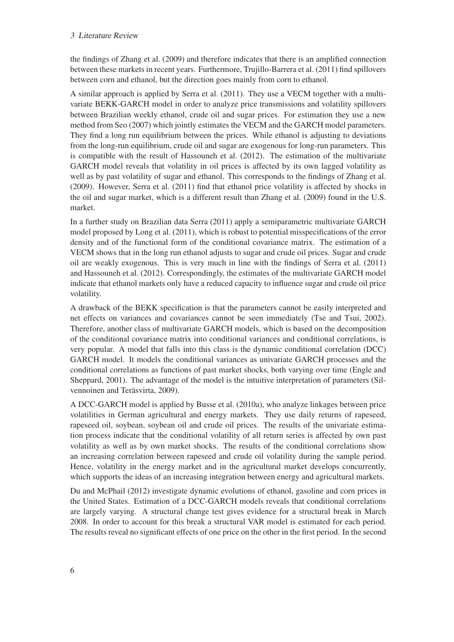#### 3 Literature Review

the findings of Zhang et al. (2009) and therefore indicates that there is an amplified connection between these markets in recent years. Furthermore, Trujillo-Barrera et al. (2011) find spillovers between corn and ethanol, but the direction goes mainly from corn to ethanol.

A similar approach is applied by Serra et al. (2011). They use a VECM together with a multivariate BEKK-GARCH model in order to analyze price transmissions and volatility spillovers between Brazilian weekly ethanol, crude oil and sugar prices. For estimation they use a new method from Seo (2007) which jointly estimates the VECM and the GARCH model parameters. They find a long run equilibrium between the prices. While ethanol is adjusting to deviations from the long-run equilibrium, crude oil and sugar are exogenous for long-run parameters. This is compatible with the result of Hassouneh et al. (2012). The estimation of the multivariate GARCH model reveals that volatility in oil prices is affected by its own lagged volatility as well as by past volatility of sugar and ethanol. This corresponds to the findings of Zhang et al. (2009). However, Serra et al. (2011) find that ethanol price volatility is affected by shocks in the oil and sugar market, which is a different result than Zhang et al. (2009) found in the U.S. market.

In a further study on Brazilian data Serra (2011) apply a semiparametric multivariate GARCH model proposed by Long et al. (2011), which is robust to potential misspecifications of the error density and of the functional form of the conditional covariance matrix. The estimation of a VECM shows that in the long run ethanol adjusts to sugar and crude oil prices. Sugar and crude oil are weakly exogenous. This is very much in line with the findings of Serra et al. (2011) and Hassouneh et al. (2012). Correspondingly, the estimates of the multivariate GARCH model indicate that ethanol markets only have a reduced capacity to influence sugar and crude oil price volatility.

A drawback of the BEKK specification is that the parameters cannot be easily interpreted and net effects on variances and covariances cannot be seen immediately (Tse and Tsui, 2002). Therefore, another class of multivariate GARCH models, which is based on the decomposition of the conditional covariance matrix into conditional variances and conditional correlations, is very popular. A model that falls into this class is the dynamic conditional correlation (DCC) GARCH model. It models the conditional variances as univariate GARCH processes and the conditional correlations as functions of past market shocks, both varying over time (Engle and Sheppard, 2001). The advantage of the model is the intuitive interpretation of parameters (Silvennoinen and Teräsvirta, 2009).

A DCC-GARCH model is applied by Busse et al. (2010a), who analyze linkages between price volatilities in German agricultural and energy markets. They use daily returns of rapeseed, rapeseed oil, soybean, soybean oil and crude oil prices. The results of the univariate estimation process indicate that the conditional volatility of all return series is affected by own past volatility as well as by own market shocks. The results of the conditional correlations show an increasing correlation between rapeseed and crude oil volatility during the sample period. Hence, volatility in the energy market and in the agricultural market develops concurrently, which supports the ideas of an increasing integration between energy and agricultural markets.

Du and McPhail (2012) investigate dynamic evolutions of ethanol, gasoline and corn prices in the United States. Estimation of a DCC-GARCH models reveals that conditional correlations are largely varying. A structural change test gives evidence for a structural break in March 2008. In order to account for this break a structural VAR model is estimated for each period. The results reveal no significant effects of one price on the other in the first period. In the second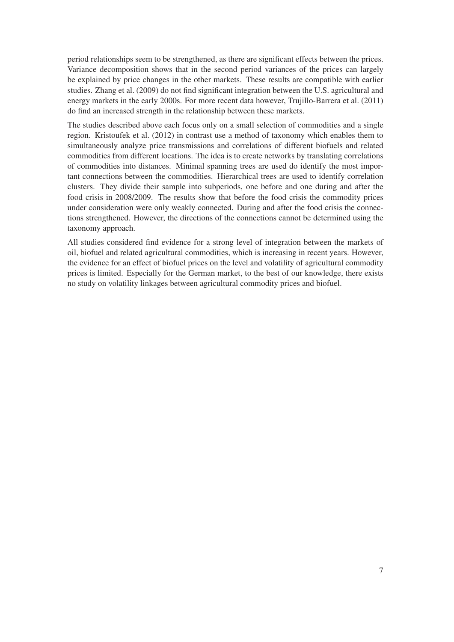period relationships seem to be strengthened, as there are significant effects between the prices. Variance decomposition shows that in the second period variances of the prices can largely be explained by price changes in the other markets. These results are compatible with earlier studies. Zhang et al. (2009) do not find significant integration between the U.S. agricultural and energy markets in the early 2000s. For more recent data however, Trujillo-Barrera et al. (2011) do find an increased strength in the relationship between these markets.

The studies described above each focus only on a small selection of commodities and a single region. Kristoufek et al. (2012) in contrast use a method of taxonomy which enables them to simultaneously analyze price transmissions and correlations of different biofuels and related commodities from different locations. The idea is to create networks by translating correlations of commodities into distances. Minimal spanning trees are used do identify the most important connections between the commodities. Hierarchical trees are used to identify correlation clusters. They divide their sample into subperiods, one before and one during and after the food crisis in 2008/2009. The results show that before the food crisis the commodity prices under consideration were only weakly connected. During and after the food crisis the connections strengthened. However, the directions of the connections cannot be determined using the taxonomy approach.

All studies considered find evidence for a strong level of integration between the markets of oil, biofuel and related agricultural commodities, which is increasing in recent years. However, the evidence for an effect of biofuel prices on the level and volatility of agricultural commodity prices is limited. Especially for the German market, to the best of our knowledge, there exists no study on volatility linkages between agricultural commodity prices and biofuel.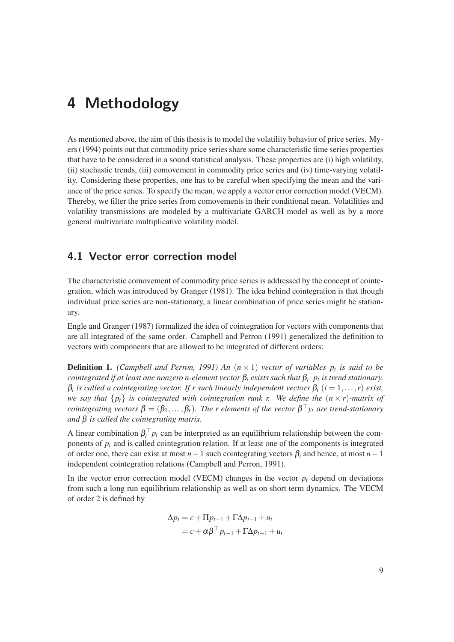## **4 Methodology**

As mentioned above, the aim of this thesis is to model the volatility behavior of price series. Myers (1994) points out that commodity price series share some characteristic time series properties that have to be considered in a sound statistical analysis. These properties are (i) high volatility, (ii) stochastic trends, (iii) comovement in commodity price series and (iv) time-varying volatility. Considering these properties, one has to be careful when specifying the mean and the variance of the price series. To specify the mean, we apply a vector error correction model (VECM). Thereby, we filter the price series from comovements in their conditional mean. Volatilities and volatility transmissions are modeled by a multivariate GARCH model as well as by a more general multivariate multiplicative volatility model.

### **4.1 Vector error correction model**

The characteristic comovement of commodity price series is addressed by the concept of cointegration, which was introduced by Granger (1981). The idea behind cointegration is that though individual price series are non-stationary, a linear combination of price series might be stationary.

Engle and Granger (1987) formalized the idea of cointegration for vectors with components that are all integrated of the same order. Campbell and Perron (1991) generalized the definition to vectors with components that are allowed to be integrated of different orders:

**Definition 1.** *(Campbell and Perron, 1991) An*  $(n \times 1)$  *vector of variables p<sub>t</sub> is said to be*  $c$ ointegrated if at least one nonzero n-element vector  $\beta_i$  exists such that  $\beta_i^+$   $p_t$  is trend stationary. β*<sup>i</sup> is called a cointegrating vector. If r such linearly independent vectors* β*<sup>i</sup>* (*i* = 1,...,*r*) *exist, we say that*  $\{p_t\}$  *is cointegrated with cointegration rank r. We define the*  $(n \times r)$ *-matrix of cointegrating vectors*  $\beta = (\beta_1, \ldots, \beta_r)$ . The r elements of the vector  $\beta^+ y_t$  are trend-stationary *and* β *is called the cointegrating matrix.*

A linear combination  $\beta_i^{\dagger} p_t$  can be interpreted as an equilibrium relationship between the components of *pt* and is called cointegration relation. If at least one of the components is integrated of order one, there can exist at most *n*−1 such cointegrating vectors β*<sup>i</sup>* and hence, at most *n*−1 independent cointegration relations (Campbell and Perron, 1991).

In the vector error correction model (VECM) changes in the vector  $p_t$  depend on deviations from such a long run equilibrium relationship as well as on short term dynamics. The VECM of order 2 is defined by

$$
\Delta p_t = c + \Pi p_{t-1} + \Gamma \Delta p_{t-1} + u_t
$$
  
=  $c + \alpha \beta^{\top} p_{t-1} + \Gamma \Delta p_{t-1} + u_t$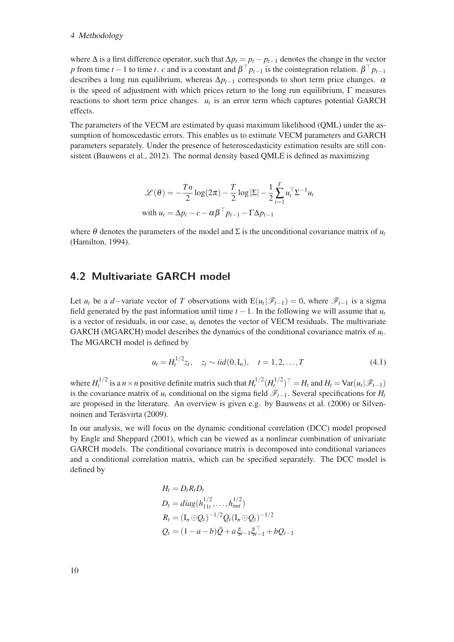#### 4 Methodology

where  $\Delta$  is a first difference operator, such that  $\Delta p_t = p_t - p_{t-1}$  denotes the change in the vector *p* from time *t* − 1 to time *t*. *c* and is a constant and  $\beta$  <sup>†</sup>  $p_{t-1}$  is the cointegration relation.  $\beta$  <sup>†</sup>  $p_{t-1}$ describes a long run equilibrium, whereas  $\Delta p_{t-1}$  corresponds to short term price changes.  $\alpha$ is the speed of adjustment with which prices return to the long run equilibrium,  $\Gamma$  measures reactions to short term price changes.  $u_t$  is an error term which captures potential GARCH effects.

The parameters of the VECM are estimated by quasi maximum likelihood (QML) under the assumption of homoscedastic errors. This enables us to estimate VECM parameters and GARCH parameters separately. Under the presence of heteroscedasticity estimation results are still consistent (Bauwens et al., 2012). The normal density based QMLE is defined as maximizing

$$
\mathcal{L}(\theta) = -\frac{Tn}{2}\log(2\pi) - \frac{T}{2}\log|\Sigma| - \frac{1}{2}\sum_{t=1}^{T}u_t^{\top}\Sigma^{-1}u_t
$$
  
with  $u_t = \Delta p_t - c - \alpha\beta^{\top}p_{t-1} - \Gamma\Delta p_{t-1}$ 

where  $\theta$  denotes the parameters of the model and  $\Sigma$  is the unconditional covariance matrix of  $u_t$ (Hamilton, 1994).

### **4.2 Multivariate GARCH model**

Let *u<sub>t</sub>* be a *d*−variate vector of *T* observations with  $E(u_t|\mathscr{F}_{t-1}) = 0$ , where  $\mathscr{F}_{t-1}$  is a sigma field generated by the past information until time  $t - 1$ . In the following we will assume that  $u_t$ is a vector of residuals, in our case,  $u_t$  denotes the vector of VECM residuals. The multivariate GARCH (MGARCH) model describes the dynamics of the conditional covariance matrix of  $u_t$ . The MGARCH model is defined by

$$
u_t = H_t^{1/2} z_t, \quad z_t \sim iid(0, I_n), \quad t = 1, 2, \dots, T
$$
\n(4.1)

where  $H_t^{1/2}$  is a  $n \times n$  positive definite matrix such that  $H_t^{1/2} (H_t^{1/2})^\top = H_t$  and  $H_t = \text{Var}(u_t | \mathscr{F}_{t-1})$ is the covariance matrix of *u<sub>t</sub>* conditional on the sigma field  $\mathscr{F}_{t-1}$ . Several specifications for *H<sub>t</sub>* are proposed in the literature. An overview is given e.g. by Bauwens et al. (2006) or Silvennoinen and Teräsvirta (2009).

In our analysis, we will focus on the dynamic conditional correlation (DCC) model proposed by Engle and Sheppard (2001), which can be viewed as a nonlinear combination of univariate GARCH models. The conditional covariance matrix is decomposed into conditional variances and a conditional correlation matrix, which can be specified separately. The DCC model is defined by

$$
H_t = D_t R_t D_t
$$
  
\n
$$
D_t = diag(h_{11t}^{1/2}, \dots, h_{nnt}^{1/2})
$$
  
\n
$$
R_t = (I_n \odot Q_t)^{-1/2} Q_t (I_n \odot Q_t)^{-1/2}
$$
  
\n
$$
Q_t = (1 - a - b) \bar{Q} + a \xi_{t-1} \xi_{t-1}^{\top} + bQ_{t-1}
$$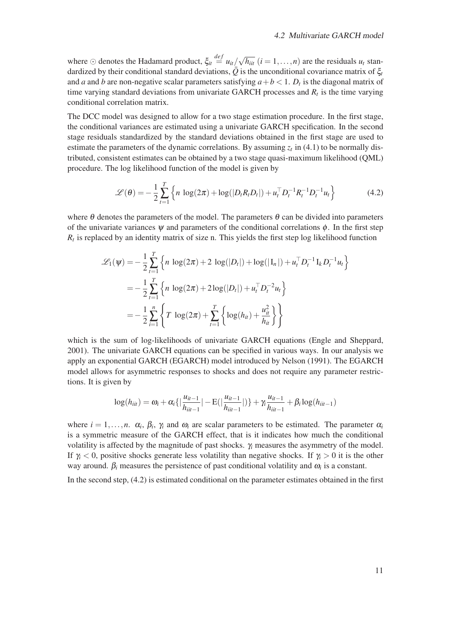where  $\odot$  denotes the Hadamard product,  $\xi_{it} \stackrel{def}{=} u_{it}/\sqrt{h_{it}}$   $(i = 1, \ldots, n)$  are the residuals  $u_t$  standardized by their conditional standard deviations,  $\overline{Q}$  is the unconditional covariance matrix of  $\xi_t$ and *a* and *b* are non-negative scalar parameters satisfying  $a + b < 1$ .  $D_t$  is the diagonal matrix of time varying standard deviations from univariate GARCH processes and  $R_t$  is the time varying conditional correlation matrix.

The DCC model was designed to allow for a two stage estimation procedure. In the first stage, the conditional variances are estimated using a univariate GARCH specification. In the second stage residuals standardized by the standard deviations obtained in the first stage are used to estimate the parameters of the dynamic correlations. By assuming  $z_t$  in (4.1) to be normally distributed, consistent estimates can be obtained by a two stage quasi-maximum likelihood (QML) procedure. The log likelihood function of the model is given by

$$
\mathcal{L}(\theta) = -\frac{1}{2} \sum_{t=1}^{T} \left\{ n \, \log(2\pi) + \log(|D_t R_t D_t|) + u_t^{\top} D_t^{-1} R_t^{-1} D_t^{-1} u_t \right\} \tag{4.2}
$$

where  $\theta$  denotes the parameters of the model. The parameters  $\theta$  can be divided into parameters of the univariate variances  $\psi$  and parameters of the conditional correlations  $\phi$ . In the first step  $R_t$  is replaced by an identity matrix of size n. This yields the first step log likelihood function

$$
\mathcal{L}_1(\psi) = -\frac{1}{2} \sum_{t=1}^T \left\{ n \log(2\pi) + 2 \log(|D_t|) + \log(|I_n|) + u_t^{\top} D_t^{-1} I_k D_t^{-1} u_t \right\}
$$
  
= 
$$
-\frac{1}{2} \sum_{t=1}^T \left\{ n \log(2\pi) + 2 \log(|D_t|) + u_t^{\top} D_t^{-2} u_t \right\}
$$
  
= 
$$
-\frac{1}{2} \sum_{i=1}^n \left\{ T \log(2\pi) + \sum_{t=1}^T \left\{ \log(h_{it}) + \frac{u_{it}^2}{h_{it}} \right\} \right\}
$$

which is the sum of log-likelihoods of univariate GARCH equations (Engle and Sheppard, 2001). The univariate GARCH equations can be specified in various ways. In our analysis we apply an exponential GARCH (EGARCH) model introduced by Nelson (1991). The EGARCH model allows for asymmetric responses to shocks and does not require any parameter restrictions. It is given by

$$
\log(h_{iit}) = \omega_i + \alpha_i \{|\frac{u_{it-1}}{h_{it-1}}| - E(|\frac{u_{it-1}}{h_{it-1}}|)\} + \gamma_i \frac{u_{it-1}}{h_{it-1}} + \beta_i \log(h_{it-1})
$$

where  $i = 1, \ldots, n$ .  $\alpha_i$ ,  $\beta_i$ ,  $\gamma_i$  and  $\omega_i$  are scalar parameters to be estimated. The parameter  $\alpha_i$ is a symmetric measure of the GARCH effect, that is it indicates how much the conditional volatility is affected by the magnitude of past shocks. γ*<sup>i</sup>* measures the asymmetry of the model. If  $\gamma$  < 0, positive shocks generate less volatility than negative shocks. If  $\gamma$  > 0 it is the other way around.  $\beta_i$  measures the persistence of past conditional volatility and  $\omega_i$  is a constant.

In the second step, (4.2) is estimated conditional on the parameter estimates obtained in the first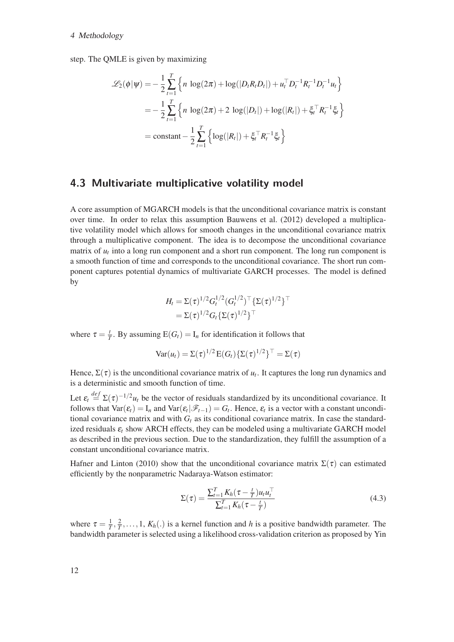#### 4 Methodology

step. The QMLE is given by maximizing

$$
\mathcal{L}_2(\phi|\psi) = -\frac{1}{2} \sum_{t=1}^T \left\{ n \log(2\pi) + \log(|D_t R_t D_t|) + u_t^{\top} D_t^{-1} R_t^{-1} D_t^{-1} u_t \right\}
$$
  
= 
$$
-\frac{1}{2} \sum_{t=1}^T \left\{ n \log(2\pi) + 2 \log(|D_t|) + \log(|R_t|) + \xi_t^{\top} R_t^{-1} \xi_t \right\}
$$
  
= constant 
$$
-\frac{1}{2} \sum_{t=1}^T \left\{ \log(|R_t|) + \xi_t^{\top} R_t^{-1} \xi_t \right\}
$$

### **4.3 Multivariate multiplicative volatility model**

A core assumption of MGARCH models is that the unconditional covariance matrix is constant over time. In order to relax this assumption Bauwens et al. (2012) developed a multiplicative volatility model which allows for smooth changes in the unconditional covariance matrix through a multiplicative component. The idea is to decompose the unconditional covariance matrix of *ut* into a long run component and a short run component. The long run component is a smooth function of time and corresponds to the unconditional covariance. The short run component captures potential dynamics of multivariate GARCH processes. The model is defined by

$$
H_t = \Sigma(\tau)^{1/2} G_t^{1/2} (G_t^{1/2})^\top \{\Sigma(\tau)^{1/2}\}^\top
$$
  
=  $\Sigma(\tau)^{1/2} G_t \{\Sigma(\tau)^{1/2}\}^\top$ 

where  $\tau = \frac{t}{T}$ . By assuming  $E(G_t) = I_n$  for identification it follows that

$$
\text{Var}(u_t) = \Sigma(\tau)^{1/2} \mathbf{E}(G_t) \{\Sigma(\tau)^{1/2}\}^{\top} = \Sigma(\tau)
$$

Hence,  $\Sigma(\tau)$  is the unconditional covariance matrix of  $u_t$ . It captures the long run dynamics and is a deterministic and smooth function of time.

Let  $\varepsilon_t \stackrel{def}{=} \Sigma(\tau)^{-1/2} u_t$  be the vector of residuals standardized by its unconditional covariance. It follows that  $Var(\varepsilon_t) = I_n$  and  $Var(\varepsilon_t|\mathscr{F}_{t-1}) = G_t$ . Hence,  $\varepsilon_t$  is a vector with a constant unconditional covariance matrix and with  $G_t$  as its conditional covariance matrix. In case the standardized residuals  $\varepsilon_t$  show ARCH effects, they can be modeled using a multivariate GARCH model as described in the previous section. Due to the standardization, they fulfill the assumption of a constant unconditional covariance matrix.

Hafner and Linton (2010) show that the unconditional covariance matrix  $\Sigma(\tau)$  can estimated efficiently by the nonparametric Nadaraya-Watson estimator:

$$
\Sigma(\tau) = \frac{\sum_{t=1}^{T} K_h(\tau - \frac{t}{T})u_t u_t^{\top}}{\sum_{t=1}^{T} K_h(\tau - \frac{t}{T})}
$$
(4.3)

where  $\tau = \frac{1}{T}, \frac{2}{T}, \ldots, 1, K_h(.)$  is a kernel function and *h* is a positive bandwidth parameter. The bandwidth parameter is selected using a likelihood cross-validation criterion as proposed by Yin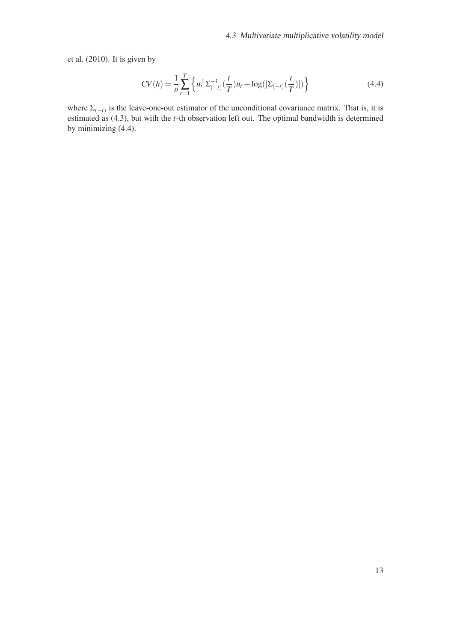et al. (2010). It is given by

$$
CV(h) = \frac{1}{n} \sum_{t=1}^{T} \left\{ u_t^{\top} \Sigma_{(-t)}^{-1} \left( \frac{t}{T} \right) u_t + \log(|\Sigma_{(-t)}(\frac{t}{T})|) \right\}
$$
(4.4)

where  $\Sigma_{(-t)}$  is the leave-one-out estimator of the unconditional covariance matrix. That is, it is estimated as (4.3), but with the *t*-th observation left out. The optimal bandwidth is determined by minimizing (4.4).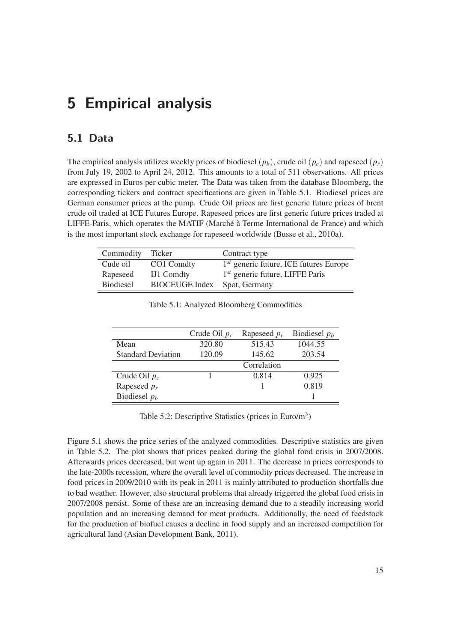## **5 Empirical analysis**

## **5.1 Data**

The empirical analysis utilizes weekly prices of biodiesel  $(p_b)$ , crude oil  $(p_c)$  and rapeseed  $(p_r)$ from July 19, 2002 to April 24, 2012. This amounts to a total of 511 observations. All prices are expressed in Euros per cubic meter. The Data was taken from the database Bloomberg, the corresponding tickers and contract specifications are given in Table 5.1. Biodiesel prices are German consumer prices at the pump. Crude Oil prices are first generic future prices of brent crude oil traded at ICE Futures Europe. Rapeseed prices are first generic future prices traded at LIFFE-Paris, which operates the MATIF (Marché à Terme International de France) and which is the most important stock exchange for rapeseed worldwide (Busse et al., 2010a).

| Commodity        | Ticker                | Contract type                            |
|------------------|-----------------------|------------------------------------------|
| Cude oil         | CO1 Comdty            | $1st$ generic future, ICE futures Europe |
| Rapeseed         | IJ1 Comdty            | $1st$ generic future, LIFFE Paris        |
| <b>Biodiesel</b> | <b>BIOCEUGE</b> Index | Spot, Germany                            |

|                           | Crude Oil $p_c$ | Rapeseed $p_r$ | Biodiesel $p_h$ |
|---------------------------|-----------------|----------------|-----------------|
| Mean                      | 320.80          | 515.43         | 1044.55         |
| <b>Standard Deviation</b> | 120.09          | 145.62         | 203.54          |
|                           |                 | Correlation    |                 |
| Crude Oil $p_c$           |                 | 0.814          | 0.925           |
| Rapeseed $p_r$            |                 |                | 0.819           |
| Biodiesel $pb$            |                 |                |                 |

Table 5.1: Analyzed Bloomberg Commodities

Table 5.2: Descriptive Statistics (prices in Euro/m<sup>3</sup>)

Figure 5.1 shows the price series of the analyzed commodities. Descriptive statistics are given in Table 5.2. The plot shows that prices peaked during the global food crisis in 2007/2008. Afterwards prices decreased, but went up again in 2011. The decrease in prices corresponds to the late-2000s recession, where the overall level of commodity prices decreased. The increase in food prices in 2009/2010 with its peak in 2011 is mainly attributed to production shortfalls due to bad weather. However, also structural problems that already triggered the global food crisis in 2007/2008 persist. Some of these are an increasing demand due to a steadily increasing world population and an increasing demand for meat products. Additionally, the need of feedstock for the production of biofuel causes a decline in food supply and an increased competition for agricultural land (Asian Development Bank, 2011).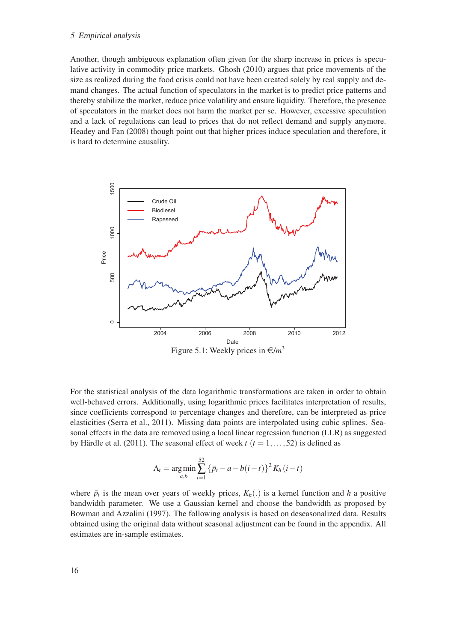#### 5 Empirical analysis

Another, though ambiguous explanation often given for the sharp increase in prices is speculative activity in commodity price markets. Ghosh (2010) argues that price movements of the size as realized during the food crisis could not have been created solely by real supply and demand changes. The actual function of speculators in the market is to predict price patterns and thereby stabilize the market, reduce price volatility and ensure liquidity. Therefore, the presence of speculators in the market does not harm the market per se. However, excessive speculation and a lack of regulations can lead to prices that do not reflect demand and supply anymore. Headey and Fan (2008) though point out that higher prices induce speculation and therefore, it is hard to determine causality.



For the statistical analysis of the data logarithmic transformations are taken in order to obtain well-behaved errors. Additionally, using logarithmic prices facilitates interpretation of results, since coefficients correspond to percentage changes and therefore, can be interpreted as price elasticities (Serra et al., 2011). Missing data points are interpolated using cubic splines. Seasonal effects in the data are removed using a local linear regression function (LLR) as suggested by Härdle et al. (2011). The seasonal effect of week  $t$  ( $t = 1, \ldots, 52$ ) is defined as

$$
\Lambda_t = \underset{a,b}{\arg \min} \sum_{i=1}^{52} {\{\bar{p}_t - a - b(i-t)\}^2 K_h(i-t) }
$$

where  $\bar{p}_t$  is the mean over years of weekly prices,  $K_h(.)$  is a kernel function and *h* a positive bandwidth parameter. We use a Gaussian kernel and choose the bandwidth as proposed by Bowman and Azzalini (1997). The following analysis is based on deseasonalized data. Results obtained using the original data without seasonal adjustment can be found in the appendix. All estimates are in-sample estimates.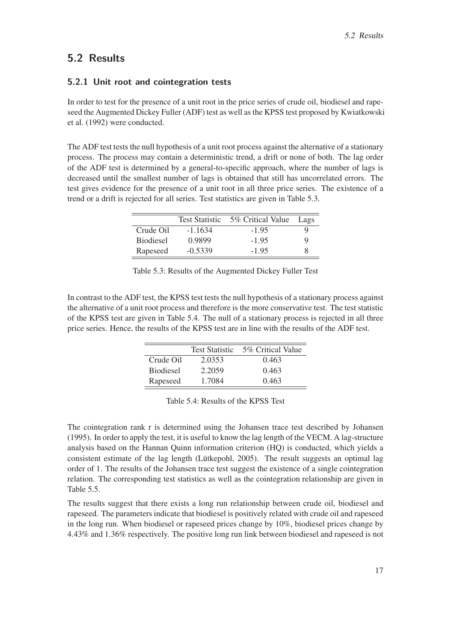### **5.2 Results**

### **5.2.1 Unit root and cointegration tests**

In order to test for the presence of a unit root in the price series of crude oil, biodiesel and rapeseed the Augmented Dickey Fuller (ADF) test as well as the KPSS test proposed by Kwiatkowski et al. (1992) were conducted.

The ADF test tests the null hypothesis of a unit root process against the alternative of a stationary process. The process may contain a deterministic trend, a drift or none of both. The lag order of the ADF test is determined by a general-to-specific approach, where the number of lags is decreased until the smallest number of lags is obtained that still has uncorrelated errors. The test gives evidence for the presence of a unit root in all three price series. The existence of a trend or a drift is rejected for all series. Test statistics are given in Table 5.3.

|                  | <b>Test Statistic</b> | 5% Critical Value | Lags |
|------------------|-----------------------|-------------------|------|
| Crude Oil        | $-1.1634$             | $-1.95$           | Q    |
| <b>Biodiesel</b> | 0.9899                | $-1.95$           | 9    |
| Rapeseed         | $-0.5339$             | $-1.95$           | Χ    |

|  | Table 5.3: Results of the Augmented Dickey Fuller Test |  |  |
|--|--------------------------------------------------------|--|--|
|--|--------------------------------------------------------|--|--|

In contrast to the ADF test, the KPSS test tests the null hypothesis of a stationary process against the alternative of a unit root process and therefore is the more conservative test. The test statistic of the KPSS test are given in Table 5.4. The null of a stationary process is rejected in all three price series. Hence, the results of the KPSS test are in line with the results of the ADF test.

|                  | <b>Test Statistic</b> | 5% Critical Value |
|------------------|-----------------------|-------------------|
| Crude Oil        | 2.0353                | 0.463             |
| <b>Biodiesel</b> | 2.2059                | 0.463             |
| Rapeseed         | 1.7084                | 0.463             |

|  | Table 5.4: Results of the KPSS Test |  |  |  |  |
|--|-------------------------------------|--|--|--|--|
|--|-------------------------------------|--|--|--|--|

The cointegration rank r is determined using the Johansen trace test described by Johansen (1995). In order to apply the test, it is useful to know the lag length of the VECM. A lag-structure analysis based on the Hannan Quinn information criterion (HQ) is conducted, which yields a consistent estimate of the lag length (Lütkepohl, 2005). The result suggests an optimal lag order of 1. The results of the Johansen trace test suggest the existence of a single cointegration relation. The corresponding test statistics as well as the cointegration relationship are given in Table 5.5.

The results suggest that there exists a long run relationship between crude oil, biodiesel and rapeseed. The parameters indicate that biodiesel is positively related with crude oil and rapeseed in the long run. When biodiesel or rapeseed prices change by 10%, biodiesel prices change by 4.43% and 1.36% respectively. The positive long run link between biodiesel and rapeseed is not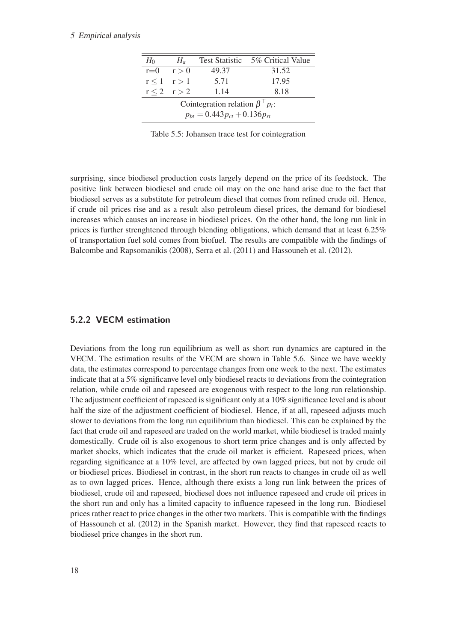#### 5 Empirical analysis

| Test Statistic 5% Critical Value<br>$H_0$<br>$H_a$ |  |  |  |  |  |  |  |  |
|----------------------------------------------------|--|--|--|--|--|--|--|--|
| $r=0$<br>49.37<br>31.52<br>r > 0                   |  |  |  |  |  |  |  |  |
| 17.95<br>5.71<br>$r < 1$ $r > 1$                   |  |  |  |  |  |  |  |  |
| $r < 2$ $r > 2$<br>8.18<br>1.14                    |  |  |  |  |  |  |  |  |
| Cointegration relation $\beta^{\top} p_t$ :        |  |  |  |  |  |  |  |  |
| $p_{bt} = 0.443 p_{ct} + 0.136 p_{rt}$             |  |  |  |  |  |  |  |  |

Table 5.5: Johansen trace test for cointegration

surprising, since biodiesel production costs largely depend on the price of its feedstock. The positive link between biodiesel and crude oil may on the one hand arise due to the fact that biodiesel serves as a substitute for petroleum diesel that comes from refined crude oil. Hence, if crude oil prices rise and as a result also petroleum diesel prices, the demand for biodiesel increases which causes an increase in biodiesel prices. On the other hand, the long run link in prices is further strenghtened through blending obligations, which demand that at least 6.25% of transportation fuel sold comes from biofuel. The results are compatible with the findings of Balcombe and Rapsomanikis (2008), Serra et al. (2011) and Hassouneh et al. (2012).

### **5.2.2 VECM estimation**

Deviations from the long run equilibrium as well as short run dynamics are captured in the VECM. The estimation results of the VECM are shown in Table 5.6. Since we have weekly data, the estimates correspond to percentage changes from one week to the next. The estimates indicate that at a 5% significanve level only biodiesel reacts to deviations from the cointegration relation, while crude oil and rapeseed are exogenous with respect to the long run relationship. The adjustment coefficient of rapeseed is significant only at a 10% significance level and is about half the size of the adjustment coefficient of biodiesel. Hence, if at all, rapeseed adjusts much slower to deviations from the long run equilibrium than biodiesel. This can be explained by the fact that crude oil and rapeseed are traded on the world market, while biodiesel is traded mainly domestically. Crude oil is also exogenous to short term price changes and is only affected by market shocks, which indicates that the crude oil market is efficient. Rapeseed prices, when regarding significance at a 10% level, are affected by own lagged prices, but not by crude oil or biodiesel prices. Biodiesel in contrast, in the short run reacts to changes in crude oil as well as to own lagged prices. Hence, although there exists a long run link between the prices of biodiesel, crude oil and rapeseed, biodiesel does not influence rapeseed and crude oil prices in the short run and only has a limited capacity to influence rapeseed in the long run. Biodiesel prices rather react to price changes in the other two markets. This is compatible with the findings of Hassouneh et al. (2012) in the Spanish market. However, they find that rapeseed reacts to biodiesel price changes in the short run.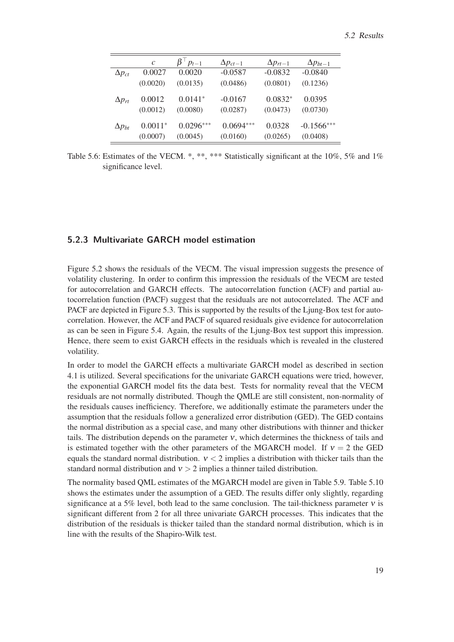|                 | $\mathcal{C}$ | $\beta$ $p_{t-1}$ | $\Delta p_{ct-1}$ | $\Delta p_{rt-1}$ | $\Delta p_{bt-1}$ |
|-----------------|---------------|-------------------|-------------------|-------------------|-------------------|
| $\Delta p_{ct}$ | 0.0027        | 0.0020            | $-0.0587$         | $-0.0832$         | $-0.0840$         |
|                 | (0.0020)      | (0.0135)          | (0.0486)          | (0.0801)          | (0.1236)          |
| $\Delta p_{rt}$ | 0.0012        | $0.0141*$         | $-0.0167$         | $0.0832*$         | 0.0395            |
|                 | (0.0012)      | (0.0080)          | (0.0287)          | (0.0473)          | (0.0730)          |
| $\Delta p_{bt}$ | $0.0011*$     | $0.0296***$       | $0.0694***$       | 0.0328            | $-0.1566***$      |
|                 | (0.0007)      | (0.0045)          | (0.0160)          | (0.0265)          | (0.0408)          |

Table 5.6: Estimates of the VECM. \*, \*\*, \*\*\* Statistically significant at the 10%, 5% and 1% significance level.

### **5.2.3 Multivariate GARCH model estimation**

Figure 5.2 shows the residuals of the VECM. The visual impression suggests the presence of volatility clustering. In order to confirm this impression the residuals of the VECM are tested for autocorrelation and GARCH effects. The autocorrelation function (ACF) and partial autocorrelation function (PACF) suggest that the residuals are not autocorrelated. The ACF and PACF are depicted in Figure 5.3. This is supported by the results of the Ljung-Box test for autocorrelation. However, the ACF and PACF of squared residuals give evidence for autocorrelation as can be seen in Figure 5.4. Again, the results of the Ljung-Box test support this impression. Hence, there seem to exist GARCH effects in the residuals which is revealed in the clustered volatility.

In order to model the GARCH effects a multivariate GARCH model as described in section 4.1 is utilized. Several specifications for the univariate GARCH equations were tried, however, the exponential GARCH model fits the data best. Tests for normality reveal that the VECM residuals are not normally distributed. Though the QMLE are still consistent, non-normality of the residuals causes inefficiency. Therefore, we additionally estimate the parameters under the assumption that the residuals follow a generalized error distribution (GED). The GED contains the normal distribution as a special case, and many other distributions with thinner and thicker tails. The distribution depends on the parameter  $v$ , which determines the thickness of tails and is estimated together with the other parameters of the MGARCH model. If  $v = 2$  the GED equals the standard normal distribution.  $v < 2$  implies a distribution with thicker tails than the standard normal distribution and  $v > 2$  implies a thinner tailed distribution.

The normality based QML estimates of the MGARCH model are given in Table 5.9. Table 5.10 shows the estimates under the assumption of a GED. The results differ only slightly, regarding significance at a 5% level, both lead to the same conclusion. The tail-thickness parameter  $v$  is significant different from 2 for all three univariate GARCH processes. This indicates that the distribution of the residuals is thicker tailed than the standard normal distribution, which is in line with the results of the Shapiro-Wilk test.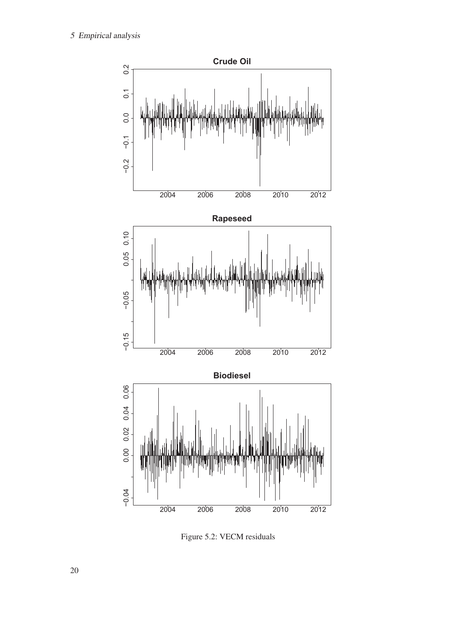

Figure 5.2: VECM residuals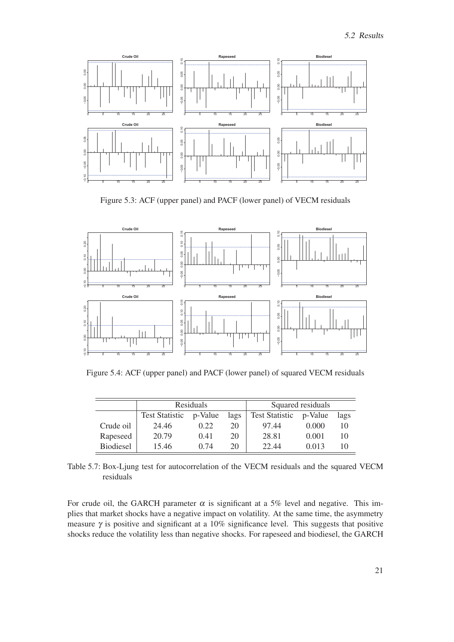

Figure 5.3: ACF (upper panel) and PACF (lower panel) of VECM residuals



Figure 5.4: ACF (upper panel) and PACF (lower panel) of squared VECM residuals

|                  | Residuals                                |      |                       | Squared residuals |       |    |
|------------------|------------------------------------------|------|-----------------------|-------------------|-------|----|
|                  | <b>Test Statistic</b><br>p-Value<br>lags |      | <b>Test Statistic</b> | p-Value           | lags  |    |
| Crude oil        | 24.46                                    | 0.22 | 20                    | 97.44             | 0.000 | 10 |
| Rapeseed         | 20.79                                    | 0.41 | 20                    | 28.81             | 0.001 | 10 |
| <b>Biodiesel</b> | 15.46                                    | 0.74 | 20                    | 22.44             | 0.013 | 10 |

Table 5.7: Box-Ljung test for autocorrelation of the VECM residuals and the squared VECM residuals

For crude oil, the GARCH parameter  $\alpha$  is significant at a 5% level and negative. This implies that market shocks have a negative impact on volatility. At the same time, the asymmetry measure  $\gamma$  is positive and significant at a 10% significance level. This suggests that positive shocks reduce the volatility less than negative shocks. For rapeseed and biodiesel, the GARCH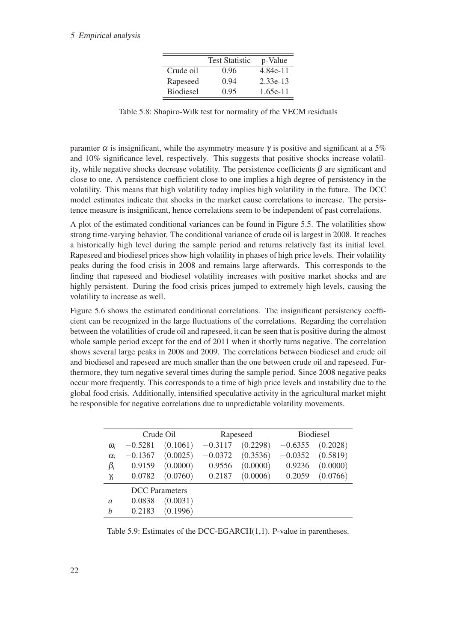#### 5 Empirical analysis

|                  | <b>Test Statistic</b> | p-Value    |
|------------------|-----------------------|------------|
| Crude oil        | 0.96                  | 4.84e-11   |
| Rapeseed         | 0.94                  | $2.33e-13$ |
| <b>Biodiesel</b> | 0.95                  | $1.65e-11$ |

Table 5.8: Shapiro-Wilk test for normality of the VECM residuals

paramter  $\alpha$  is insignificant, while the asymmetry measure  $\gamma$  is positive and significant at a 5% and 10% significance level, respectively. This suggests that positive shocks increase volatility, while negative shocks decrease volatility. The persistence coefficients  $\beta$  are significant and close to one. A persistence coefficient close to one implies a high degree of persistency in the volatility. This means that high volatility today implies high volatility in the future. The DCC model estimates indicate that shocks in the market cause correlations to increase. The persistence measure is insignificant, hence correlations seem to be independent of past correlations.

A plot of the estimated conditional variances can be found in Figure 5.5. The volatilities show strong time-varying behavior. The conditional variance of crude oil is largest in 2008. It reaches a historically high level during the sample period and returns relatively fast its initial level. Rapeseed and biodiesel prices show high volatility in phases of high price levels. Their volatility peaks during the food crisis in 2008 and remains large afterwards. This corresponds to the finding that rapeseed and biodiesel volatility increases with positive market shocks and are highly persistent. During the food crisis prices jumped to extremely high levels, causing the volatility to increase as well.

Figure 5.6 shows the estimated conditional correlations. The insignificant persistency coefficient can be recognized in the large fluctuations of the correlations. Regarding the correlation between the volatilities of crude oil and rapeseed, it can be seen that is positive during the almost whole sample period except for the end of 2011 when it shortly turns negative. The correlation shows several large peaks in 2008 and 2009. The correlations between biodiesel and crude oil and biodiesel and rapeseed are much smaller than the one between crude oil and rapeseed. Furthermore, they turn negative several times during the sample period. Since 2008 negative peaks occur more frequently. This corresponds to a time of high price levels and instability due to the global food crisis. Additionally, intensified speculative activity in the agricultural market might be responsible for negative correlations due to unpredictable volatility movements.

|                |           | Crude Oil             |           | Rapeseed |           | <b>Biodiesel</b> |
|----------------|-----------|-----------------------|-----------|----------|-----------|------------------|
| $\omega_i$     | $-0.5281$ | (0.1061)              | $-0.3117$ | (0.2298) | $-0.6355$ | (0.2028)         |
| $\alpha_i$     | $-0.1367$ | (0.0025)              | $-0.0372$ | (0.3536) | $-0.0352$ | (0.5819)         |
| $\beta_i$      | 0.9159    | (0.0000)              | 0.9556    | (0.0000) | 0.9236    | (0.0000)         |
| $\gamma_i$     | 0.0782    | (0.0760)              | 0.2187    | (0.0006) | 0.2059    | (0.0766)         |
|                |           | <b>DCC</b> Parameters |           |          |           |                  |
| $\overline{a}$ | 0.0838    | (0.0031)              |           |          |           |                  |
| h              | 0.2183    | (0.1996)              |           |          |           |                  |

Table 5.9: Estimates of the DCC-EGARCH(1,1). P-value in parentheses.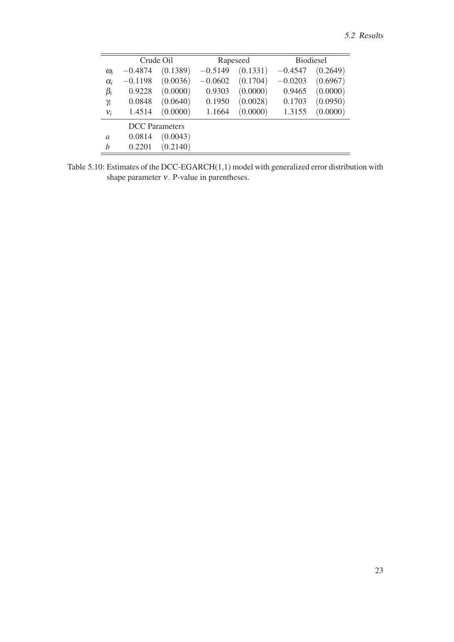|               |           | Crude Oil             |           | Rapeseed |           | <b>Biodiesel</b> |
|---------------|-----------|-----------------------|-----------|----------|-----------|------------------|
| $\omega_i$    | $-0.4874$ | (0.1389)              | $-0.5149$ | (0.1331) | $-0.4547$ | (0.2649)         |
| $\alpha_i$    | $-0.1198$ | (0.0036)              | $-0.0602$ | (0.1704) | $-0.0203$ | (0.6967)         |
| $\beta_i$     | 0.9228    | (0.0000)              | 0.9303    | (0.0000) | 0.9465    | (0.0000)         |
| $\gamma_i$    | 0.0848    | (0.0640)              | 0.1950    | (0.0028) | 0.1703    | (0.0950)         |
| $v_i$         | 1.4514    | (0.0000)              | 1.1664    | (0.0000) | 1.3155    | (0.0000)         |
|               |           | <b>DCC</b> Parameters |           |          |           |                  |
| $\mathfrak a$ | 0.0814    | (0.0043)              |           |          |           |                  |
| h             | 0.2201    | (0.2140)              |           |          |           |                  |

Table 5.10: Estimates of the DCC-EGARCH(1,1) model with generalized error distribution with shape parameter ν. P-value in parentheses.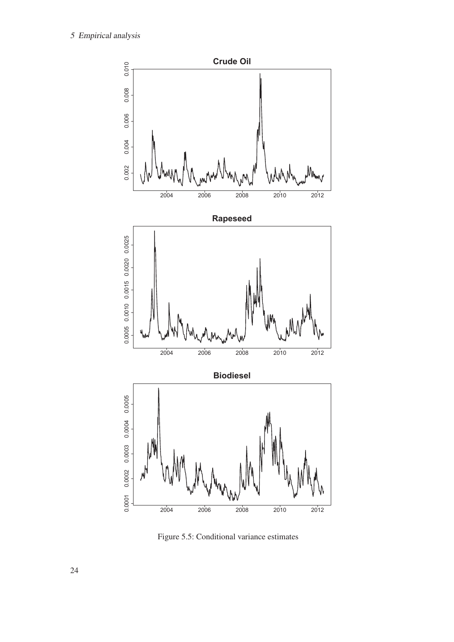

Figure 5.5: Conditional variance estimates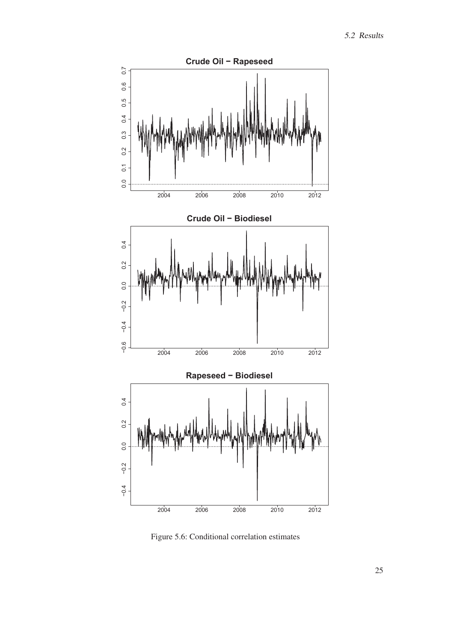

Figure 5.6: Conditional correlation estimates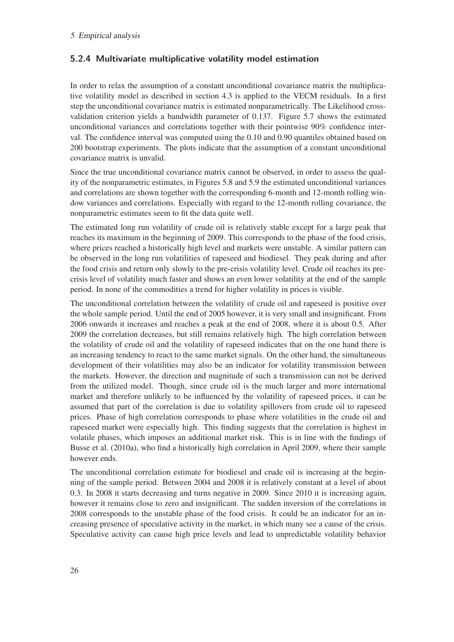### **5.2.4 Multivariate multiplicative volatility model estimation**

In order to relax the assumption of a constant unconditional covariance matrix the multiplicative volatility model as described in section 4.3 is applied to the VECM residuals. In a first step the unconditional covariance matrix is estimated nonparametrically. The Likelihood crossvalidation criterion yields a bandwidth parameter of 0.137. Figure 5.7 shows the estimated unconditional variances and correlations together with their pointwise 90% confidence interval. The confidence interval was computed using the 0.10 and 0.90 quantiles obtained based on 200 bootstrap experiments. The plots indicate that the assumption of a constant unconditional covariance matrix is unvalid.

Since the true unconditional covariance matrix cannot be observed, in order to assess the quality of the nonparametric estimates, in Figures 5.8 and 5.9 the estimated unconditional variances and correlations are shown together with the corresponding 6-month and 12-month rolling window variances and correlations. Especially with regard to the 12-month rolling covariance, the nonparametric estimates seem to fit the data quite well.

The estimated long run volatility of crude oil is relatively stable except for a large peak that reaches its maximum in the beginning of 2009. This corresponds to the phase of the food crisis, where prices reached a historically high level and markets were unstable. A similar pattern can be observed in the long run volatilities of rapeseed and biodiesel. They peak during and after the food crisis and return only slowly to the pre-crisis volatility level. Crude oil reaches its precrisis level of volatility much faster and shows an even lower volatility at the end of the sample period. In none of the commodities a trend for higher volatility in prices is visible.

The unconditional correlation between the volatility of crude oil and rapeseed is positive over the whole sample period. Until the end of 2005 however, it is very small and insignificant. From 2006 onwards it increases and reaches a peak at the end of 2008, where it is about 0.5. After 2009 the correlation decreases, but still remains relatively high. The high correlation between the volatility of crude oil and the volatility of rapeseed indicates that on the one hand there is an increasing tendency to react to the same market signals. On the other hand, the simultaneous development of their volatilities may also be an indicator for volatility transmission between the markets. However, the direction and magnitude of such a transmission can not be derived from the utilized model. Though, since crude oil is the much larger and more international market and therefore unlikely to be influenced by the volatility of rapeseed prices, it can be assumed that part of the correlation is due to volatility spillovers from crude oil to rapeseed prices. Phase of high correlation corresponds to phase where volatilities in the crude oil and rapeseed market were especially high. This finding suggests that the correlation is highest in volatile phases, which imposes an additional market risk. This is in line with the findings of Busse et al. (2010a), who find a historically high correlation in April 2009, where their sample however ends.

The unconditional correlation estimate for biodiesel and crude oil is increasing at the beginning of the sample period. Between 2004 and 2008 it is relatively constant at a level of about 0.3. In 2008 it starts decreasing and turns negative in 2009. Since 2010 it is increasing again, however it remains close to zero and insignificant. The sudden inversion of the correlations in 2008 corresponds to the unstable phase of the food crisis. It could be an indicator for an increasing presence of speculative activity in the market, in which many see a cause of the crisis. Speculative activity can cause high price levels and lead to unpredictable volatility behavior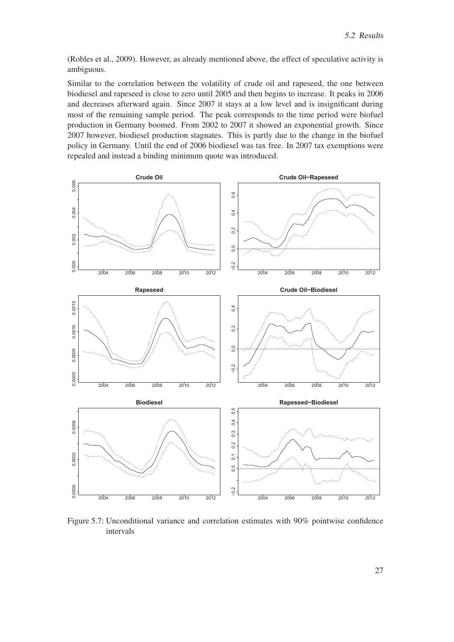(Robles et al., 2009). However, as already mentioned above, the effect of speculative activity is ambiguous.

Similar to the correlation between the volatility of crude oil and rapeseed, the one between biodiesel and rapeseed is close to zero until 2005 and then begins to increase. It peaks in 2006 and decreases afterward again. Since 2007 it stays at a low level and is insignificant during most of the remaining sample period. The peak corresponds to the time period were biofuel production in Germany boomed. From 2002 to 2007 it showed an exponential growth. Since 2007 however, biodiesel production stagnates. This is partly due to the change in the biofuel policy in Germany. Until the end of 2006 biodiesel was tax free. In 2007 tax exemptions were repealed and instead a binding minimum quote was introduced.



Figure 5.7: Unconditional variance and correlation estimates with 90% pointwise confidence intervals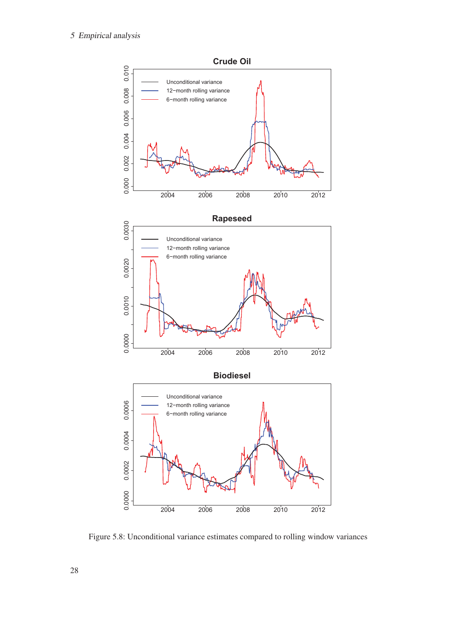

Figure 5.8: Unconditional variance estimates compared to rolling window variances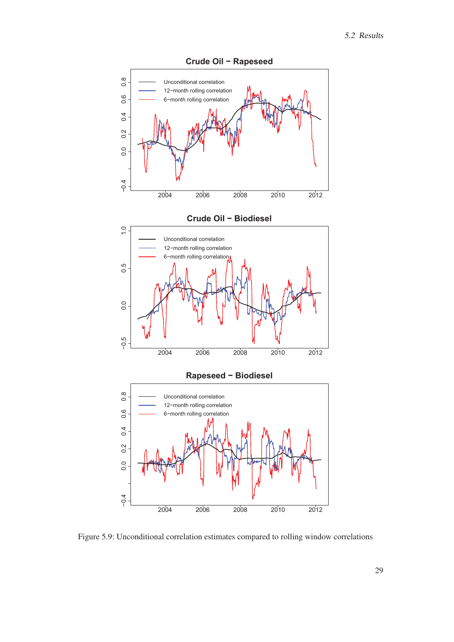

Figure 5.9: Unconditional correlation estimates compared to rolling window correlations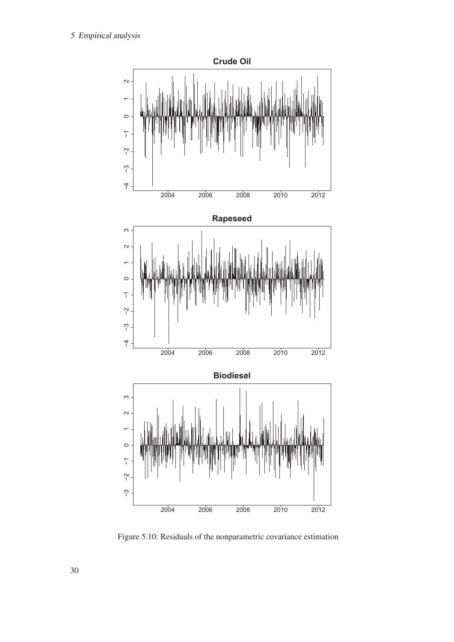

Figure 5.10: Residuals of the nonparametric covariance estimation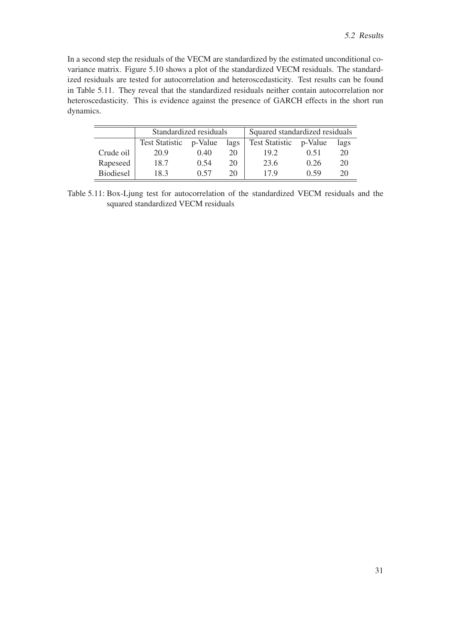In a second step the residuals of the VECM are standardized by the estimated unconditional covariance matrix. Figure 5.10 shows a plot of the standardized VECM residuals. The standardized residuals are tested for autocorrelation and heteroscedasticity. Test results can be found in Table 5.11. They reveal that the standardized residuals neither contain autocorrelation nor heteroscedasticity. This is evidence against the presence of GARCH effects in the short run dynamics.

|                  | Standardized residuals |         |      | Squared standardized residuals |      |      |
|------------------|------------------------|---------|------|--------------------------------|------|------|
|                  | <b>Test Statistic</b>  | p-Value | lags | Test Statistic p-Value         |      | lags |
| Crude oil        | 20.9                   | 0.40    | 20   | 19.2                           | 0.51 | 20   |
| Rapeseed         | 18.7                   | 0.54    | 20   | 23.6                           | 0.26 | 20   |
| <b>Biodiesel</b> | 18.3                   | 0.57    | 20   | 179                            | 0.59 | 20   |

Table 5.11: Box-Ljung test for autocorrelation of the standardized VECM residuals and the squared standardized VECM residuals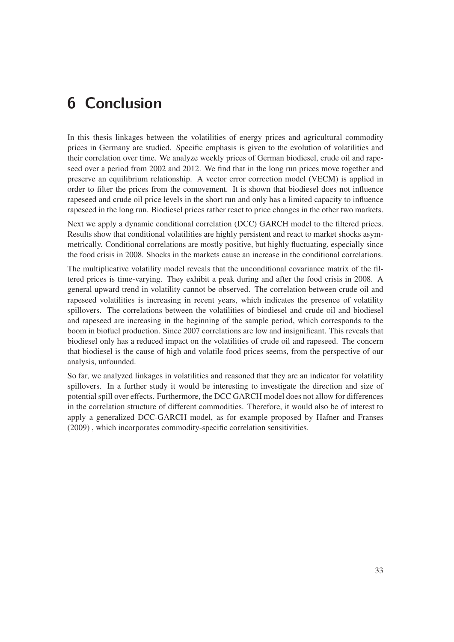## **6 Conclusion**

In this thesis linkages between the volatilities of energy prices and agricultural commodity prices in Germany are studied. Specific emphasis is given to the evolution of volatilities and their correlation over time. We analyze weekly prices of German biodiesel, crude oil and rapeseed over a period from 2002 and 2012. We find that in the long run prices move together and preserve an equilibrium relationship. A vector error correction model (VECM) is applied in order to filter the prices from the comovement. It is shown that biodiesel does not influence rapeseed and crude oil price levels in the short run and only has a limited capacity to influence rapeseed in the long run. Biodiesel prices rather react to price changes in the other two markets.

Next we apply a dynamic conditional correlation (DCC) GARCH model to the filtered prices. Results show that conditional volatilities are highly persistent and react to market shocks asymmetrically. Conditional correlations are mostly positive, but highly fluctuating, especially since the food crisis in 2008. Shocks in the markets cause an increase in the conditional correlations.

The multiplicative volatility model reveals that the unconditional covariance matrix of the filtered prices is time-varying. They exhibit a peak during and after the food crisis in 2008. A general upward trend in volatility cannot be observed. The correlation between crude oil and rapeseed volatilities is increasing in recent years, which indicates the presence of volatility spillovers. The correlations between the volatilities of biodiesel and crude oil and biodiesel and rapeseed are increasing in the beginning of the sample period, which corresponds to the boom in biofuel production. Since 2007 correlations are low and insignificant. This reveals that biodiesel only has a reduced impact on the volatilities of crude oil and rapeseed. The concern that biodiesel is the cause of high and volatile food prices seems, from the perspective of our analysis, unfounded.

So far, we analyzed linkages in volatilities and reasoned that they are an indicator for volatility spillovers. In a further study it would be interesting to investigate the direction and size of potential spill over effects. Furthermore, the DCC GARCH model does not allow for differences in the correlation structure of different commodities. Therefore, it would also be of interest to apply a generalized DCC-GARCH model, as for example proposed by Hafner and Franses (2009) , which incorporates commodity-specific correlation sensitivities.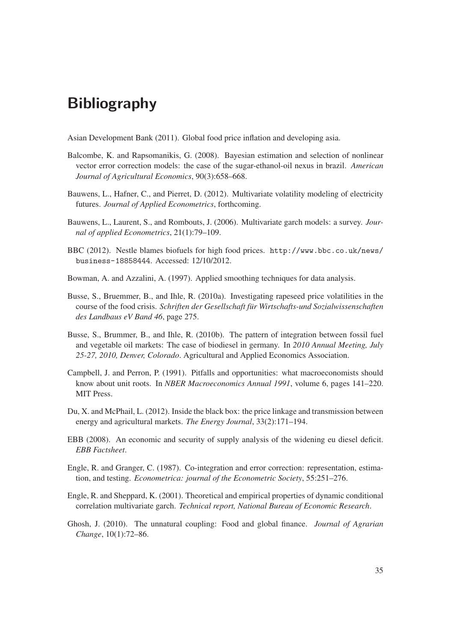## **Bibliography**

Asian Development Bank (2011). Global food price inflation and developing asia.

- Balcombe, K. and Rapsomanikis, G. (2008). Bayesian estimation and selection of nonlinear vector error correction models: the case of the sugar-ethanol-oil nexus in brazil. *American Journal of Agricultural Economics*, 90(3):658–668.
- Bauwens, L., Hafner, C., and Pierret, D. (2012). Multivariate volatility modeling of electricity futures. *Journal of Applied Econometrics*, forthcoming.
- Bauwens, L., Laurent, S., and Rombouts, J. (2006). Multivariate garch models: a survey. *Journal of applied Econometrics*, 21(1):79–109.
- BBC (2012). Nestle blames biofuels for high food prices. http://www.bbc.co.uk/news/ business-18858444. Accessed: 12/10/2012.
- Bowman, A. and Azzalini, A. (1997). Applied smoothing techniques for data analysis.
- Busse, S., Bruemmer, B., and Ihle, R. (2010a). Investigating rapeseed price volatilities in the course of the food crisis. *Schriften der Gesellschaft für Wirtschafts-und Sozialwissenschaften des Landbaus eV Band 46*, page 275.
- Busse, S., Brummer, B., and Ihle, R. (2010b). The pattern of integration between fossil fuel and vegetable oil markets: The case of biodiesel in germany. In *2010 Annual Meeting, July 25-27, 2010, Denver, Colorado*. Agricultural and Applied Economics Association.
- Campbell, J. and Perron, P. (1991). Pitfalls and opportunities: what macroeconomists should know about unit roots. In *NBER Macroeconomics Annual 1991*, volume 6, pages 141–220. MIT Press.
- Du, X. and McPhail, L. (2012). Inside the black box: the price linkage and transmission between energy and agricultural markets. *The Energy Journal*, 33(2):171–194.
- EBB (2008). An economic and security of supply analysis of the widening eu diesel deficit. *EBB Factsheet*.
- Engle, R. and Granger, C. (1987). Co-integration and error correction: representation, estimation, and testing. *Econometrica: journal of the Econometric Society*, 55:251–276.
- Engle, R. and Sheppard, K. (2001). Theoretical and empirical properties of dynamic conditional correlation multivariate garch. *Technical report, National Bureau of Economic Research*.
- Ghosh, J. (2010). The unnatural coupling: Food and global finance. *Journal of Agrarian Change*, 10(1):72–86.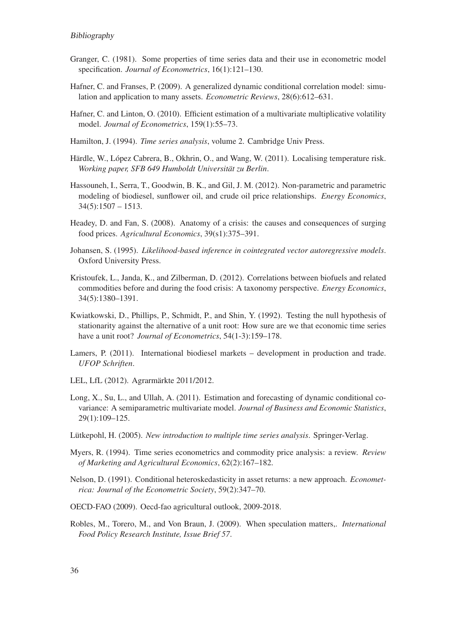#### Bibliography

- Granger, C. (1981). Some properties of time series data and their use in econometric model specification. *Journal of Econometrics*, 16(1):121–130.
- Hafner, C. and Franses, P. (2009). A generalized dynamic conditional correlation model: simulation and application to many assets. *Econometric Reviews*, 28(6):612–631.
- Hafner, C. and Linton, O. (2010). Efficient estimation of a multivariate multiplicative volatility model. *Journal of Econometrics*, 159(1):55–73.
- Hamilton, J. (1994). *Time series analysis*, volume 2. Cambridge Univ Press.
- Härdle, W., López Cabrera, B., Okhrin, O., and Wang, W. (2011). Localising temperature risk. *Working paper, SFB 649 Humboldt Universität zu Berlin*.
- Hassouneh, I., Serra, T., Goodwin, B. K., and Gil, J. M. (2012). Non-parametric and parametric modeling of biodiesel, sunflower oil, and crude oil price relationships. *Energy Economics*,  $34(5):1507 - 1513.$
- Headey, D. and Fan, S. (2008). Anatomy of a crisis: the causes and consequences of surging food prices. *Agricultural Economics*, 39(s1):375–391.
- Johansen, S. (1995). *Likelihood-based inference in cointegrated vector autoregressive models*. Oxford University Press.
- Kristoufek, L., Janda, K., and Zilberman, D. (2012). Correlations between biofuels and related commodities before and during the food crisis: A taxonomy perspective. *Energy Economics*, 34(5):1380–1391.
- Kwiatkowski, D., Phillips, P., Schmidt, P., and Shin, Y. (1992). Testing the null hypothesis of stationarity against the alternative of a unit root: How sure are we that economic time series have a unit root? *Journal of Econometrics*, 54(1-3):159–178.
- Lamers, P. (2011). International biodiesel markets development in production and trade. *UFOP Schriften*.
- LEL, LfL (2012). Agrarmärkte 2011/2012.
- Long, X., Su, L., and Ullah, A. (2011). Estimation and forecasting of dynamic conditional covariance: A semiparametric multivariate model. *Journal of Business and Economic Statistics*, 29(1):109–125.
- Lütkepohl, H. (2005). *New introduction to multiple time series analysis*. Springer-Verlag.
- Myers, R. (1994). Time series econometrics and commodity price analysis: a review. *Review of Marketing and Agricultural Economics*, 62(2):167–182.
- Nelson, D. (1991). Conditional heteroskedasticity in asset returns: a new approach. *Econometrica: Journal of the Econometric Society*, 59(2):347–70.
- OECD-FAO (2009). Oecd-fao agricultural outlook, 2009-2018.
- Robles, M., Torero, M., and Von Braun, J. (2009). When speculation matters,. *International Food Policy Research Institute, Issue Brief 57*.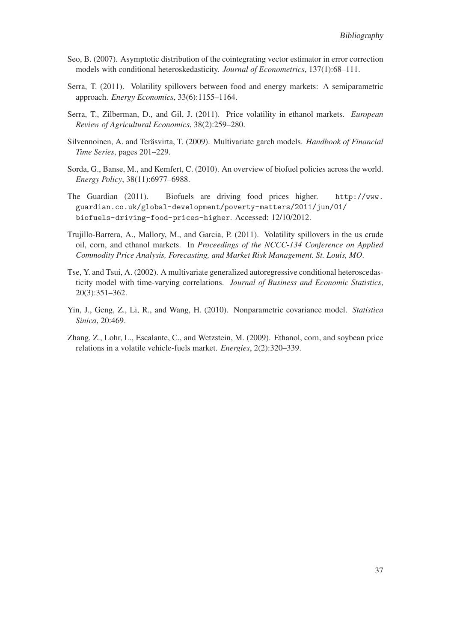- Seo, B. (2007). Asymptotic distribution of the cointegrating vector estimator in error correction models with conditional heteroskedasticity. *Journal of Econometrics*, 137(1):68–111.
- Serra, T. (2011). Volatility spillovers between food and energy markets: A semiparametric approach. *Energy Economics*, 33(6):1155–1164.
- Serra, T., Zilberman, D., and Gil, J. (2011). Price volatility in ethanol markets. *European Review of Agricultural Economics*, 38(2):259–280.
- Silvennoinen, A. and Teräsvirta, T. (2009). Multivariate garch models. *Handbook of Financial Time Series*, pages 201–229.
- Sorda, G., Banse, M., and Kemfert, C. (2010). An overview of biofuel policies across the world. *Energy Policy*, 38(11):6977–6988.
- The Guardian (2011). Biofuels are driving food prices higher. http://www. guardian.co.uk/global-development/poverty-matters/2011/jun/01/ biofuels-driving-food-prices-higher. Accessed: 12/10/2012.
- Trujillo-Barrera, A., Mallory, M., and Garcia, P. (2011). Volatility spillovers in the us crude oil, corn, and ethanol markets. In *Proceedings of the NCCC-134 Conference on Applied Commodity Price Analysis, Forecasting, and Market Risk Management. St. Louis, MO*.
- Tse, Y. and Tsui, A. (2002). A multivariate generalized autoregressive conditional heteroscedasticity model with time-varying correlations. *Journal of Business and Economic Statistics*, 20(3):351–362.
- Yin, J., Geng, Z., Li, R., and Wang, H. (2010). Nonparametric covariance model. *Statistica Sinica*, 20:469.
- Zhang, Z., Lohr, L., Escalante, C., and Wetzstein, M. (2009). Ethanol, corn, and soybean price relations in a volatile vehicle-fuels market. *Energies*, 2(2):320–339.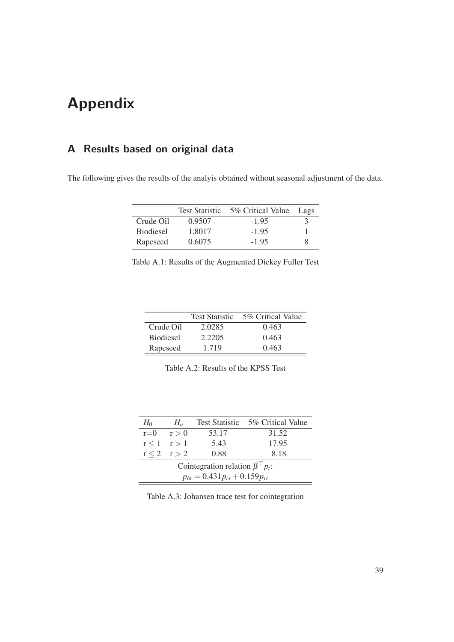# **Appendix**

## **A Results based on original data**

The following gives the results of the analyis obtained without seasonal adjustment of the data.

|                  | <b>Test Statistic</b> | 5% Critical Value | Lags |
|------------------|-----------------------|-------------------|------|
| Crude Oil        | 0.9507                | $-1.95$           |      |
| <b>Biodiesel</b> | 1.8017                | $-1.95$           |      |
| Rapeseed         | 0.6075                | $-195$            |      |

| Table A.1: Results of the Augmented Dickey Fuller Test |  |  |  |
|--------------------------------------------------------|--|--|--|
|--------------------------------------------------------|--|--|--|

|                  | <b>Test Statistic</b> | 5% Critical Value |
|------------------|-----------------------|-------------------|
| Crude Oil        | 2.0285                | 0.463             |
| <b>Biodiesel</b> | 2.2205                | 0.463             |
| Rapeseed         | 1.719                 | 0.463             |

| Table A.2: Results of the KPSS Test |  |  |  |
|-------------------------------------|--|--|--|
|-------------------------------------|--|--|--|

| $H_0$                                       | $H_a$           |       | Test Statistic 5% Critical Value |  |  |  |
|---------------------------------------------|-----------------|-------|----------------------------------|--|--|--|
| $r=0$                                       | r > 0           | 53.17 | 31.52                            |  |  |  |
|                                             | $r < 1$ $r > 1$ | 5.43  | 17.95                            |  |  |  |
|                                             | $r < 2$ $r > 2$ | 0.88  | 8.18                             |  |  |  |
| Cointegration relation $\beta^{\top} p_t$ : |                 |       |                                  |  |  |  |
| $p_{bt} = 0.431 p_{ct} + 0.159 p_{rt}$      |                 |       |                                  |  |  |  |

Table A.3: Johansen trace test for cointegration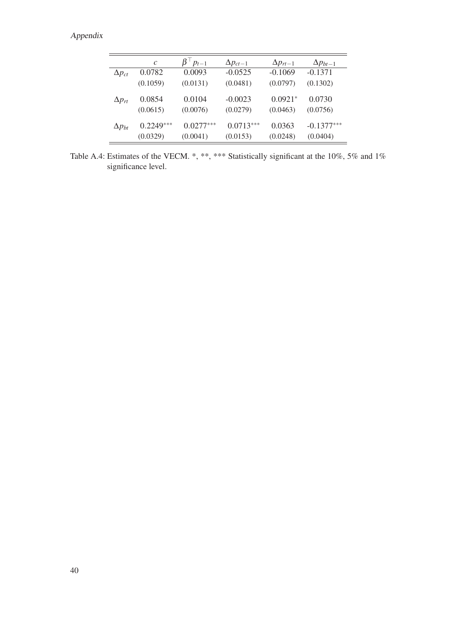|                 | $\mathcal{C}$ | $\beta$ $p_{t-1}$ | $\Delta p_{ct-1}$ | $\Delta p_{rt-1}$ | $\Delta p_{bt-1}$ |
|-----------------|---------------|-------------------|-------------------|-------------------|-------------------|
| $\Delta p_{ct}$ | 0.0782        | 0.0093            | $-0.0525$         | $-0.1069$         | $-0.1371$         |
|                 | (0.1059)      | (0.0131)          | (0.0481)          | (0.0797)          | (0.1302)          |
| $\Delta p_{rt}$ | 0.0854        | 0.0104            | $-0.0023$         | $0.0921*$         | 0.0730            |
|                 | (0.0615)      | (0.0076)          | (0.0279)          | (0.0463)          | (0.0756)          |
| $\Delta p_{bt}$ | $0.2249***$   | $0.0277***$       | $0.0713***$       | 0.0363            | $-0.1377***$      |
|                 | (0.0329)      | (0.0041)          | (0.0153)          | (0.0248)          | (0.0404)          |

Table A.4: Estimates of the VECM. \*, \*\*, \*\*\* Statistically significant at the 10%, 5% and 1% significance level.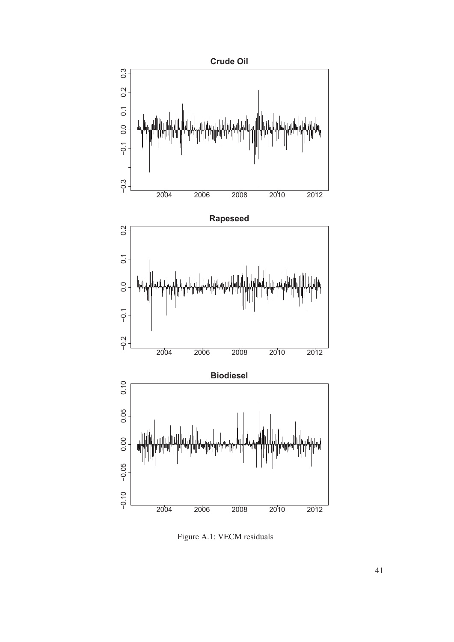

Figure A.1: VECM residuals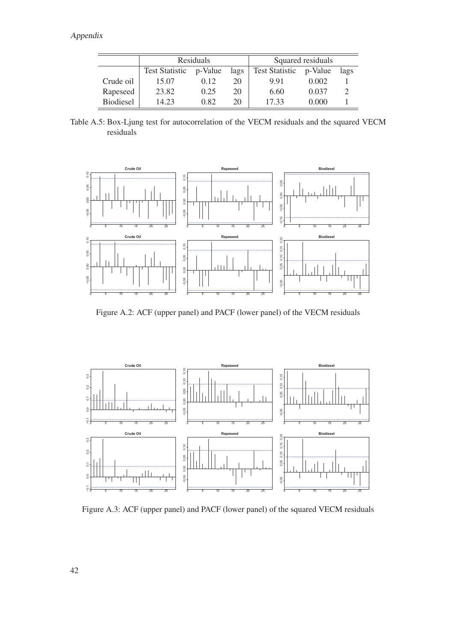|                  | Residuals             |         |      |                       | Squared residuals |               |
|------------------|-----------------------|---------|------|-----------------------|-------------------|---------------|
|                  | <b>Test Statistic</b> | p-Value | lags | <b>Test Statistic</b> | p-Value           | lags          |
| Crude oil        | 15.07                 | 0.12    | 20   | 9.91                  | 0.002             |               |
| Rapeseed         | 23.82                 | 0.25    | 20   | 6.60                  | 0.037             | $\mathcal{D}$ |
| <b>Biodiesel</b> | 14.23                 | 0.82    | 20   | 17.33                 | 0.000             |               |

Table A.5: Box-Ljung test for autocorrelation of the VECM residuals and the squared VECM residuals



Figure A.2: ACF (upper panel) and PACF (lower panel) of the VECM residuals



Figure A.3: ACF (upper panel) and PACF (lower panel) of the squared VECM residuals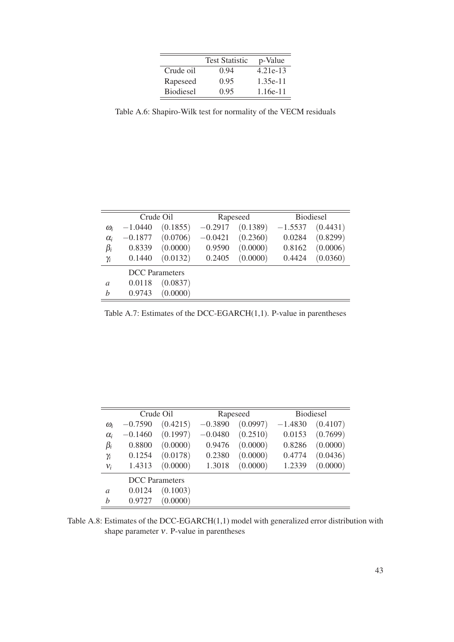|                  | <b>Test Statistic</b> | p-Value    |
|------------------|-----------------------|------------|
| Crude oil        | 0.94                  | 4.21e-13   |
| Rapeseed         | 0.95                  | $1.35e-11$ |
| <b>Biodiesel</b> | 0.95                  | 1.16e-11   |

Table A.6: Shapiro-Wilk test for normality of the VECM residuals

|                       | Crude Oil |          | Rapeseed  |          | <b>Biodiesel</b> |          |
|-----------------------|-----------|----------|-----------|----------|------------------|----------|
| $\omega_i$            | $-1.0440$ | (0.1855) | $-0.2917$ | (0.1389) | $-1.5537$        | (0.4431) |
| $\alpha_i$            | $-0.1877$ | (0.0706) | $-0.0421$ | (0.2360) | 0.0284           | (0.8299) |
| $\beta_i$             | 0.8339    | (0.0000) | 0.9590    | (0.0000) | 0.8162           | (0.0006) |
| $\gamma_i$            | 0.1440    | (0.0132) | 0.2405    | (0.0000) | 0.4424           | (0.0360) |
| <b>DCC</b> Parameters |           |          |           |          |                  |          |
| a                     | 0.0118    | (0.0837) |           |          |                  |          |
| h                     | 0.9743    | (0.0000) |           |          |                  |          |

Table A.7: Estimates of the DCC-EGARCH(1,1). P-value in parentheses

|               | Crude Oil             |          | Rapeseed  |          | <b>Biodiesel</b> |          |
|---------------|-----------------------|----------|-----------|----------|------------------|----------|
| $\omega_i$    | $-0.7590$             | (0.4215) | $-0.3890$ | (0.0997) | $-1.4830$        | (0.4107) |
| $\alpha_i$    | $-0.1460$             | (0.1997) | $-0.0480$ | (0.2510) | 0.0153           | (0.7699) |
| $\beta_i$     | 0.8800                | (0.0000) | 0.9476    | (0.0000) | 0.8286           | (0.0000) |
| $\gamma_i$    | 0.1254                | (0.0178) | 0.2380    | (0.0000) | 0.4774           | (0.0436) |
| $v_i$         | 1.4313                | (0.0000) | 1.3018    | (0.0000) | 1.2339           | (0.0000) |
|               | <b>DCC</b> Parameters |          |           |          |                  |          |
| $\mathfrak a$ | 0.0124                | (0.1003) |           |          |                  |          |
| h             | 0.9727                | (0.0000) |           |          |                  |          |

Table A.8: Estimates of the DCC-EGARCH(1,1) model with generalized error distribution with shape parameter ν. P-value in parentheses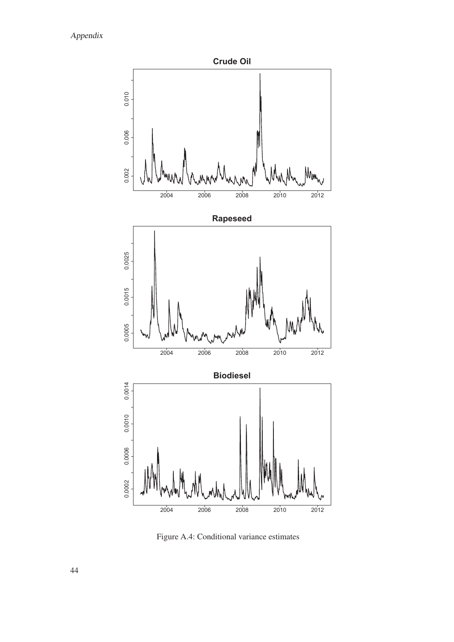

Figure A.4: Conditional variance estimates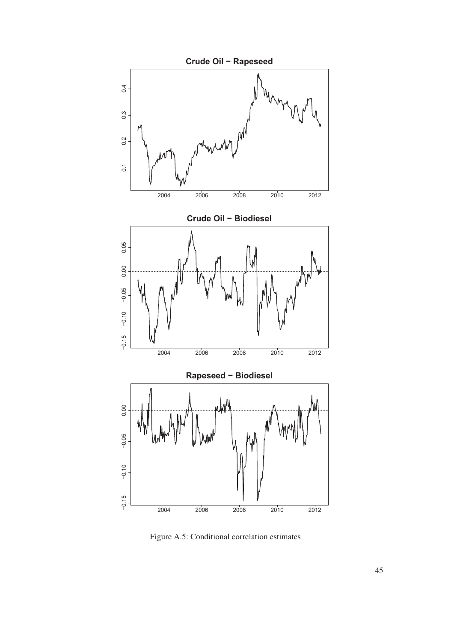

Figure A.5: Conditional correlation estimates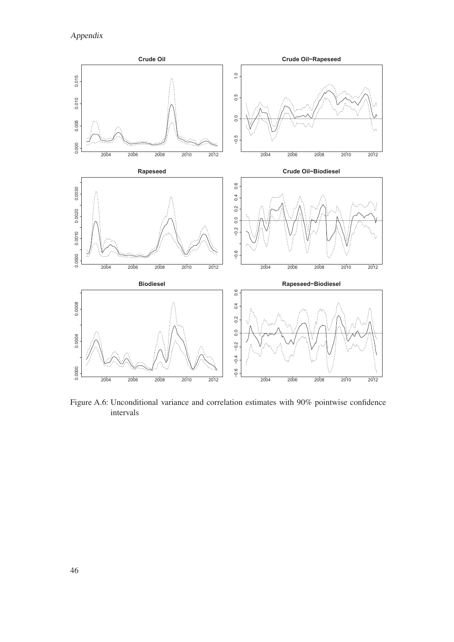Appendix



Figure A.6: Unconditional variance and correlation estimates with 90% pointwise confidence intervals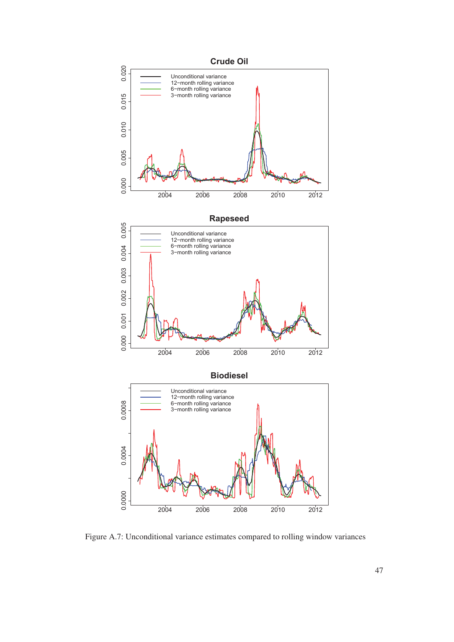

Figure A.7: Unconditional variance estimates compared to rolling window variances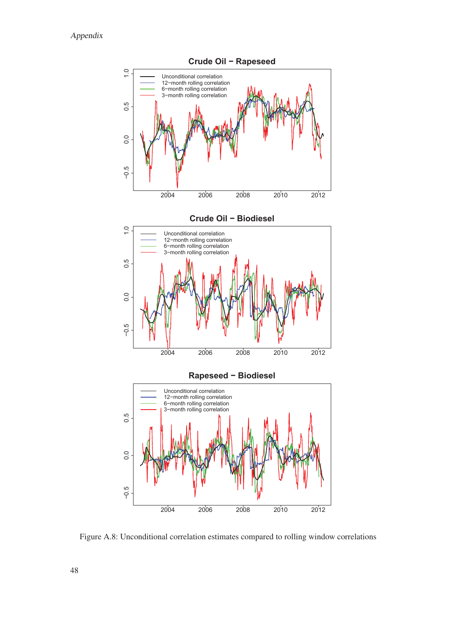

Figure A.8: Unconditional correlation estimates compared to rolling window correlations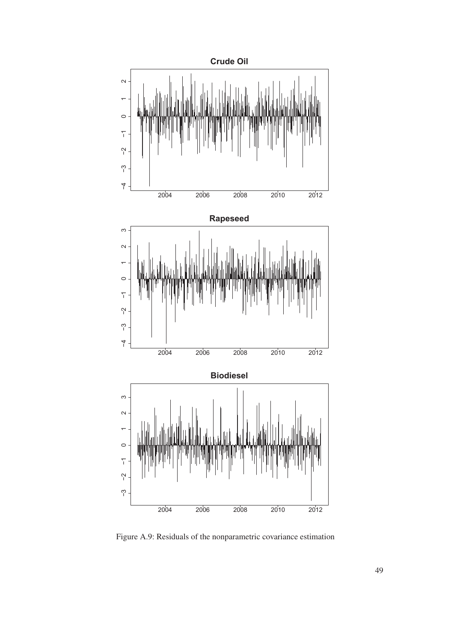

Figure A.9: Residuals of the nonparametric covariance estimation